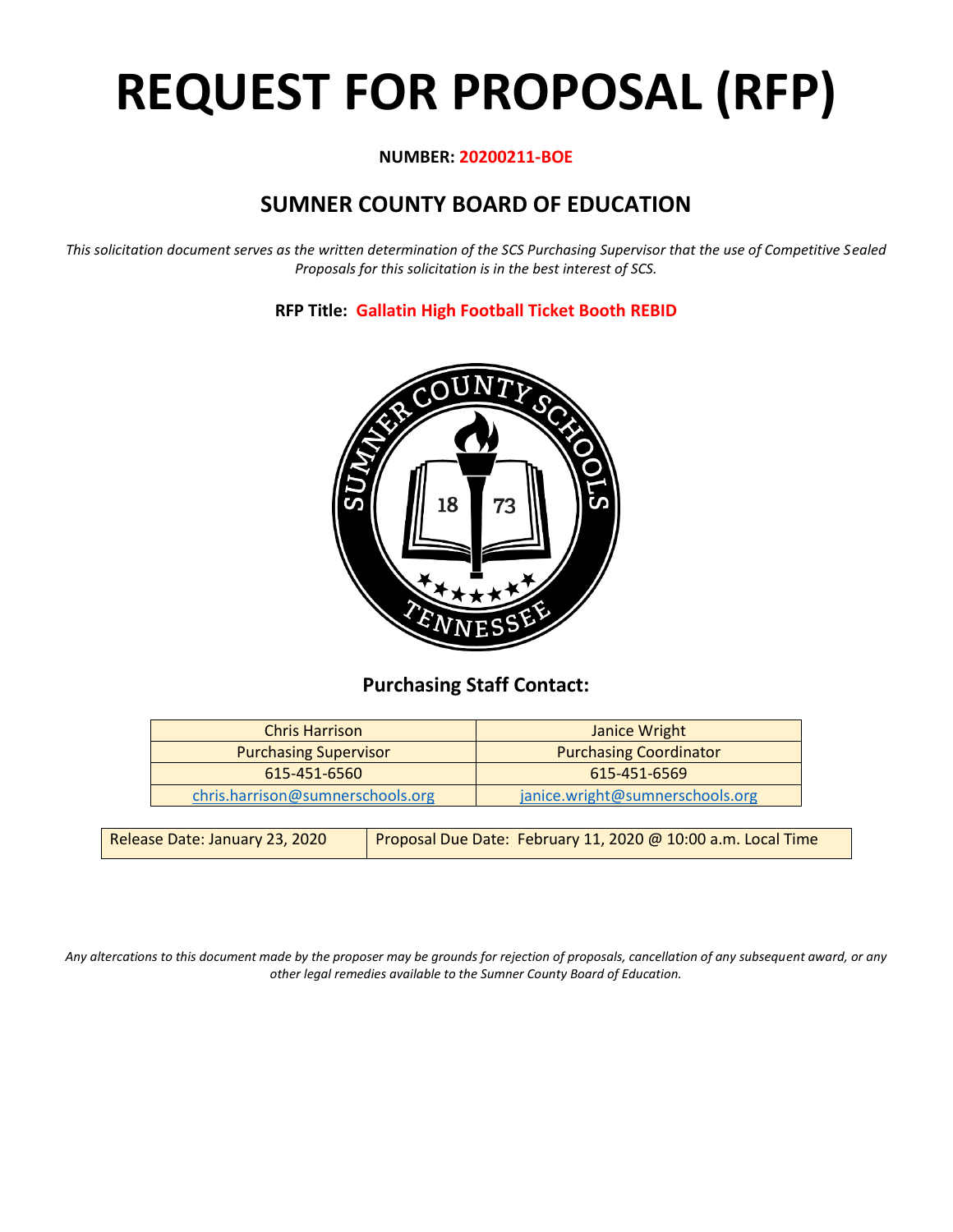# **REQUEST FOR PROPOSAL (RFP)**

## **NUMBER: 20200211-BOE**

# **SUMNER COUNTY BOARD OF EDUCATION**

*This solicitation document serves as the written determination of the SCS Purchasing Supervisor that the use of Competitive Sealed Proposals for this solicitation is in the best interest of SCS.*

## **RFP Title: Gallatin High Football Ticket Booth REBID**



# **Purchasing Staff Contact:**

| <b>Chris Harrison</b>            | Janice Wright                   |
|----------------------------------|---------------------------------|
| <b>Purchasing Supervisor</b>     | <b>Purchasing Coordinator</b>   |
| $615 - 451 - 6560$               | 615-451-6569                    |
| chris.harrison@sumnerschools.org | janice.wright@sumnerschools.org |

| Release Date: January 23, 2020 | Proposal Due Date: February 11, 2020 @ 10:00 a.m. Local Time |
|--------------------------------|--------------------------------------------------------------|
|--------------------------------|--------------------------------------------------------------|

*Any altercations to this document made by the proposer may be grounds for rejection of proposals, cancellation of any subsequent award, or any other legal remedies available to the Sumner County Board of Education.*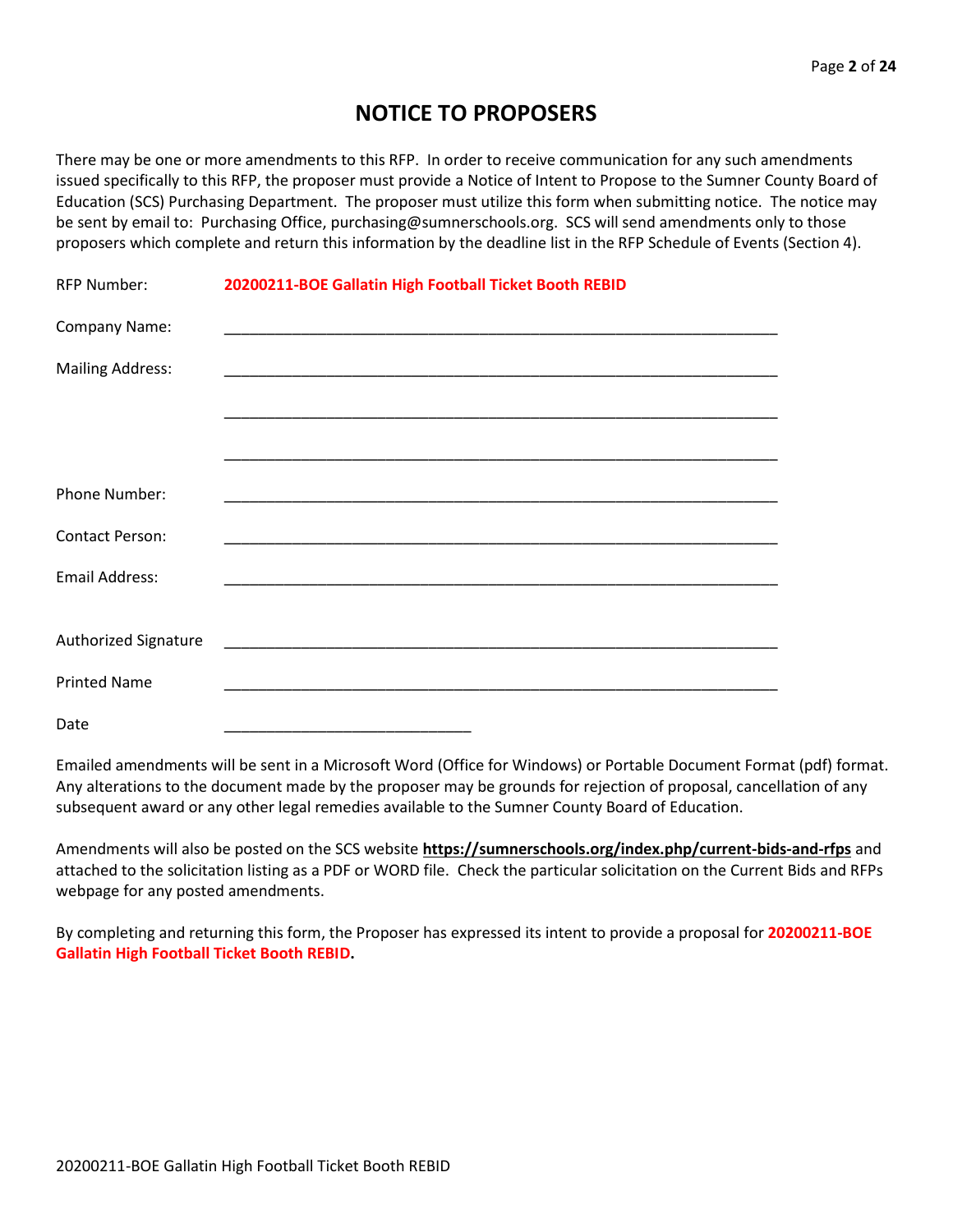# **NOTICE TO PROPOSERS**

There may be one or more amendments to this RFP. In order to receive communication for any such amendments issued specifically to this RFP, the proposer must provide a Notice of Intent to Propose to the Sumner County Board of Education (SCS) Purchasing Department. The proposer must utilize this form when submitting notice. The notice may be sent by email to: Purchasing Office, purchasing@sumnerschools.org. SCS will send amendments only to those proposers which complete and return this information by the deadline list in the RFP Schedule of Events (Section 4).

| <b>RFP Number:</b>      | 20200211-BOE Gallatin High Football Ticket Booth REBID |
|-------------------------|--------------------------------------------------------|
| Company Name:           |                                                        |
| <b>Mailing Address:</b> |                                                        |
|                         |                                                        |
|                         |                                                        |
| Phone Number:           |                                                        |
| <b>Contact Person:</b>  |                                                        |
| <b>Email Address:</b>   |                                                        |
|                         |                                                        |
| Authorized Signature    |                                                        |
| <b>Printed Name</b>     |                                                        |
| Date                    |                                                        |

Emailed amendments will be sent in a Microsoft Word (Office for Windows) or Portable Document Format (pdf) format. Any alterations to the document made by the proposer may be grounds for rejection of proposal, cancellation of any subsequent award or any other legal remedies available to the Sumner County Board of Education.

Amendments will also be posted on the SCS website **https://sumnerschools.org/index.php/current-bids-and-rfps** and attached to the solicitation listing as a PDF or WORD file. Check the particular solicitation on the Current Bids and RFPs webpage for any posted amendments.

By completing and returning this form, the Proposer has expressed its intent to provide a proposal for **20200211-BOE Gallatin High Football Ticket Booth REBID.**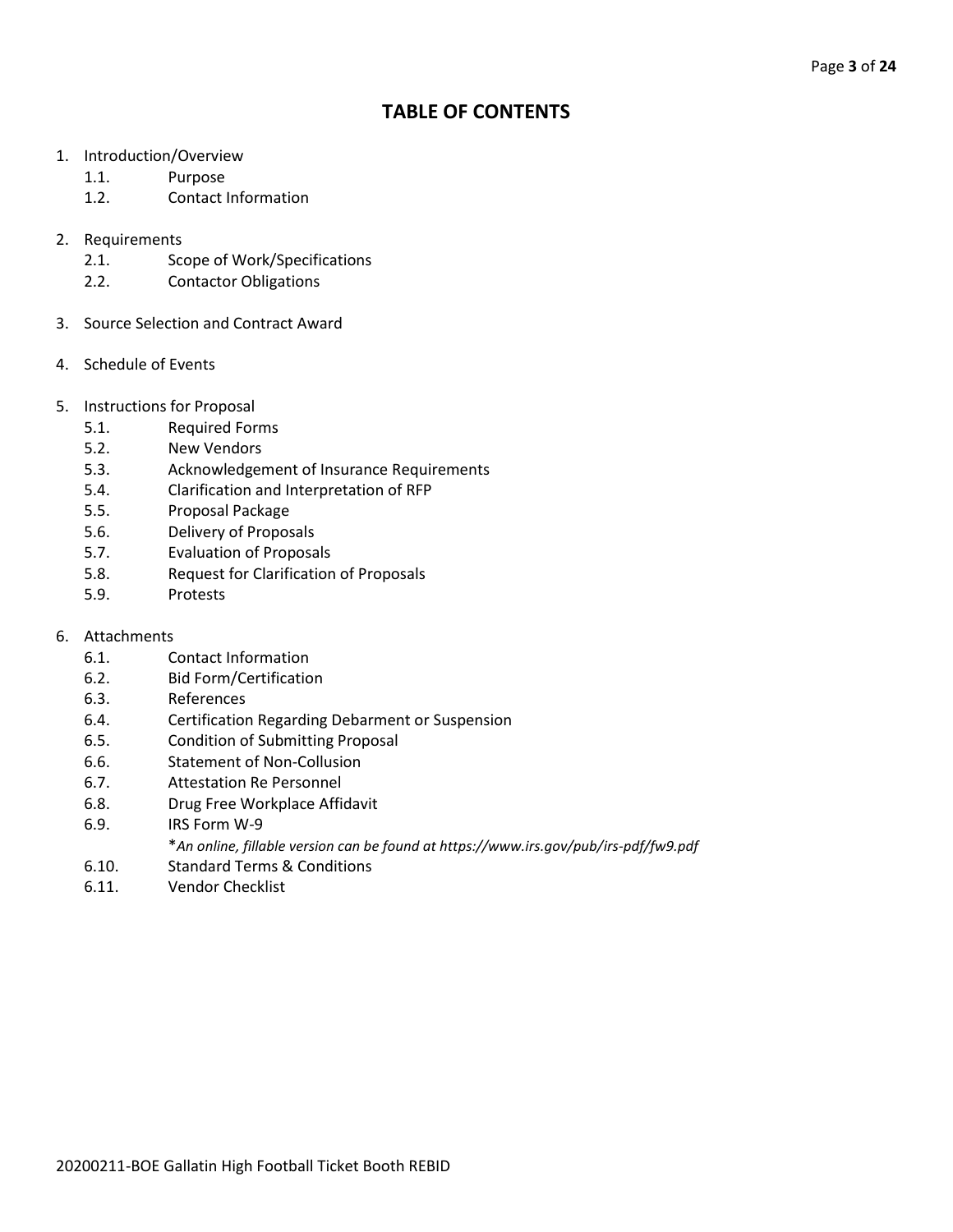# **TABLE OF CONTENTS**

- 1. Introduction/Overview
	- 1.1. Purpose
	- 1.2. Contact Information
- 2. Requirements
	- 2.1. Scope of Work/Specifications
	- 2.2. Contactor Obligations
- 3. Source Selection and Contract Award
- 4. Schedule of Events
- 5. Instructions for Proposal
	- 5.1. Required Forms
	- 5.2. New Vendors
	- 5.3. Acknowledgement of Insurance Requirements
	- 5.4. Clarification and Interpretation of RFP
	- 5.5. Proposal Package
	- 5.6. Delivery of Proposals
	- 5.7. Evaluation of Proposals
	- 5.8. Request for Clarification of Proposals
	- 5.9. Protests
- 6. Attachments
	- 6.1. Contact Information
	- 6.2. Bid Form/Certification
	- 6.3. References
	- 6.4. Certification Regarding Debarment or Suspension
	- 6.5. Condition of Submitting Proposal
	- 6.6. Statement of Non-Collusion
	- 6.7. Attestation Re Personnel
	- 6.8. Drug Free Workplace Affidavit
	- 6.9. IRS Form W-9
		- \**An online, fillable version can be found at https://www.irs.gov/pub/irs-pdf/fw9.pdf*
	- 6.10. Standard Terms & Conditions
	- 6.11. Vendor Checklist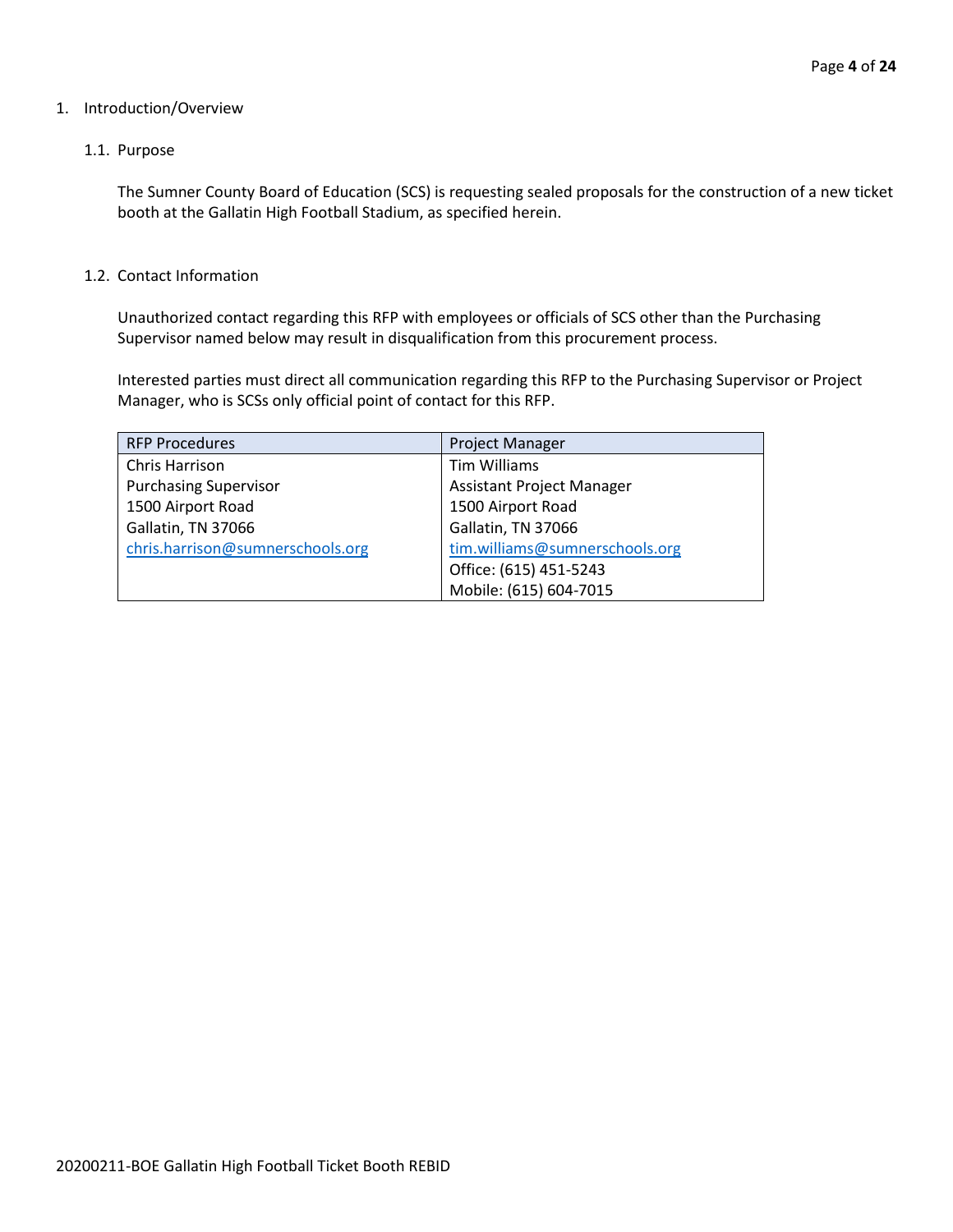#### 1. Introduction/Overview

#### 1.1. Purpose

The Sumner County Board of Education (SCS) is requesting sealed proposals for the construction of a new ticket booth at the Gallatin High Football Stadium, as specified herein.

#### 1.2. Contact Information

Unauthorized contact regarding this RFP with employees or officials of SCS other than the Purchasing Supervisor named below may result in disqualification from this procurement process.

Interested parties must direct all communication regarding this RFP to the Purchasing Supervisor or Project Manager, who is SCSs only official point of contact for this RFP.

| <b>RFP Procedures</b>            | <b>Project Manager</b>           |
|----------------------------------|----------------------------------|
| Chris Harrison                   | Tim Williams                     |
| <b>Purchasing Supervisor</b>     | <b>Assistant Project Manager</b> |
| 1500 Airport Road                | 1500 Airport Road                |
| Gallatin, TN 37066               | Gallatin, TN 37066               |
| chris.harrison@sumnerschools.org | tim.williams@sumnerschools.org   |
|                                  | Office: (615) 451-5243           |
|                                  | Mobile: (615) 604-7015           |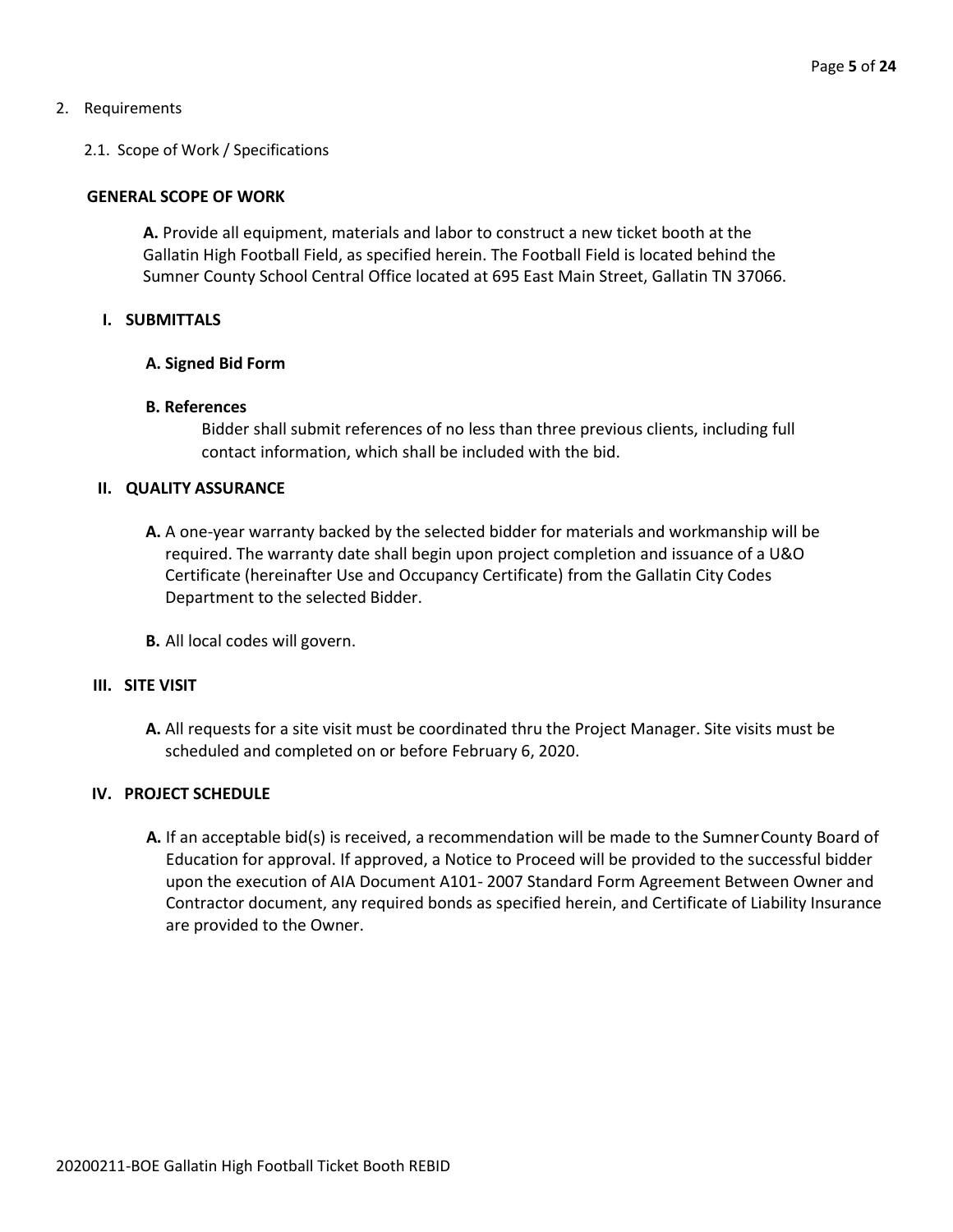#### 2. Requirements

#### 2.1. Scope of Work / Specifications

#### **GENERAL SCOPE OF WORK**

**A.** Provide all equipment, materials and labor to construct a new ticket booth at the Gallatin High Football Field, as specified herein. The Football Field is located behind the Sumner County School Central Office located at 695 East Main Street, Gallatin TN 37066.

#### **I. SUBMITTALS**

#### **A. Signed Bid Form**

#### **B. References**

Bidder shall submit references of no less than three previous clients, including full contact information, which shall be included with the bid.

#### **II. QUALITY ASSURANCE**

- **A.** A one-year warranty backed by the selected bidder for materials and workmanship will be required. The warranty date shall begin upon project completion and issuance of a U&O Certificate (hereinafter Use and Occupancy Certificate) from the Gallatin City Codes Department to the selected Bidder.
- **B.** All local codes will govern.

#### **III. SITE VISIT**

**A.** All requests for a site visit must be coordinated thru the Project Manager. Site visits must be scheduled and completed on or before February 6, 2020.

#### **IV. PROJECT SCHEDULE**

**A.** If an acceptable bid(s) is received, a recommendation will be made to the SumnerCounty Board of Education for approval. If approved, a Notice to Proceed will be provided to the successful bidder upon the execution of AIA Document A101- 2007 Standard Form Agreement Between Owner and Contractor document, any required bonds as specified herein, and Certificate of Liability Insurance are provided to the Owner.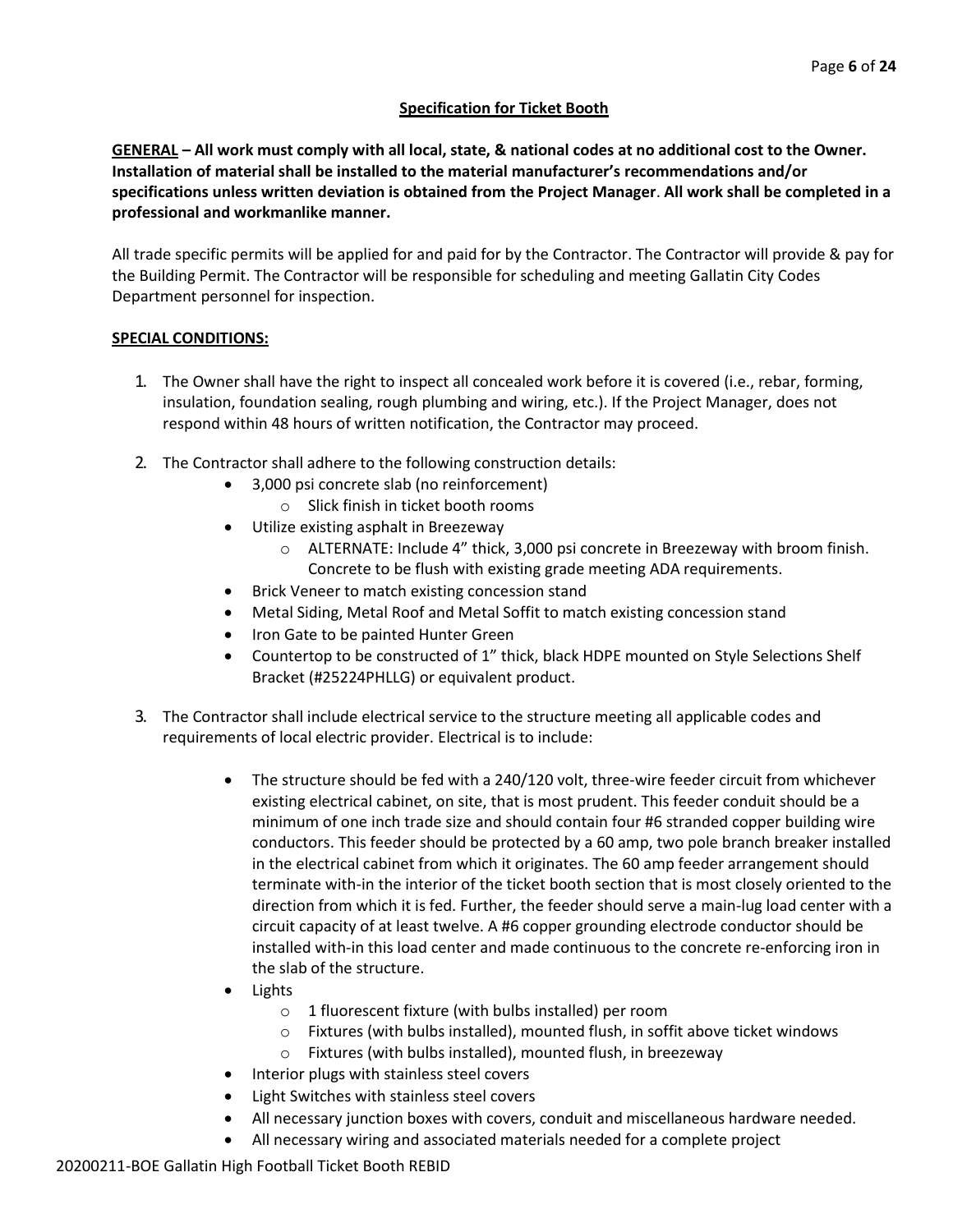## **Specification for Ticket Booth**

**GENERAL – All work must comply with all local, state, & national codes at no additional cost to the Owner. Installation of material shall be installed to the material manufacturer's recommendations and/or specifications unless written deviation is obtained from the Project Manager**. **All work shall be completed in a professional and workmanlike manner.**

All trade specific permits will be applied for and paid for by the Contractor. The Contractor will provide & pay for the Building Permit. The Contractor will be responsible for scheduling and meeting Gallatin City Codes Department personnel for inspection.

## **SPECIAL CONDITIONS:**

- 1. The Owner shall have the right to inspect all concealed work before it is covered (i.e., rebar, forming, insulation, foundation sealing, rough plumbing and wiring, etc.). If the Project Manager, does not respond within 48 hours of written notification, the Contractor may proceed.
- 2. The Contractor shall adhere to the following construction details:
	- 3,000 psi concrete slab (no reinforcement)
		- o Slick finish in ticket booth rooms
	- Utilize existing asphalt in Breezeway
		- o ALTERNATE: Include 4" thick, 3,000 psi concrete in Breezeway with broom finish. Concrete to be flush with existing grade meeting ADA requirements.
	- Brick Veneer to match existing concession stand
	- Metal Siding, Metal Roof and Metal Soffit to match existing concession stand
	- Iron Gate to be painted Hunter Green
	- Countertop to be constructed of 1" thick, black HDPE mounted on Style Selections Shelf Bracket (#25224PHLLG) or equivalent product.
- 3. The Contractor shall include electrical service to the structure meeting all applicable codes and requirements of local electric provider. Electrical is to include:
	- The structure should be fed with a 240/120 volt, three-wire feeder circuit from whichever existing electrical cabinet, on site, that is most prudent. This feeder conduit should be a minimum of one inch trade size and should contain four #6 stranded copper building wire conductors. This feeder should be protected by a 60 amp, two pole branch breaker installed in the electrical cabinet from which it originates. The 60 amp feeder arrangement should terminate with-in the interior of the ticket booth section that is most closely oriented to the direction from which it is fed. Further, the feeder should serve a main-lug load center with a circuit capacity of at least twelve. A #6 copper grounding electrode conductor should be installed with-in this load center and made continuous to the concrete re-enforcing iron in the slab of the structure.
	- Lights
		- o 1 fluorescent fixture (with bulbs installed) per room
		- o Fixtures (with bulbs installed), mounted flush, in soffit above ticket windows
		- o Fixtures (with bulbs installed), mounted flush, in breezeway
	- Interior plugs with stainless steel covers
	- Light Switches with stainless steel covers
	- All necessary junction boxes with covers, conduit and miscellaneous hardware needed.
	- All necessary wiring and associated materials needed for a complete project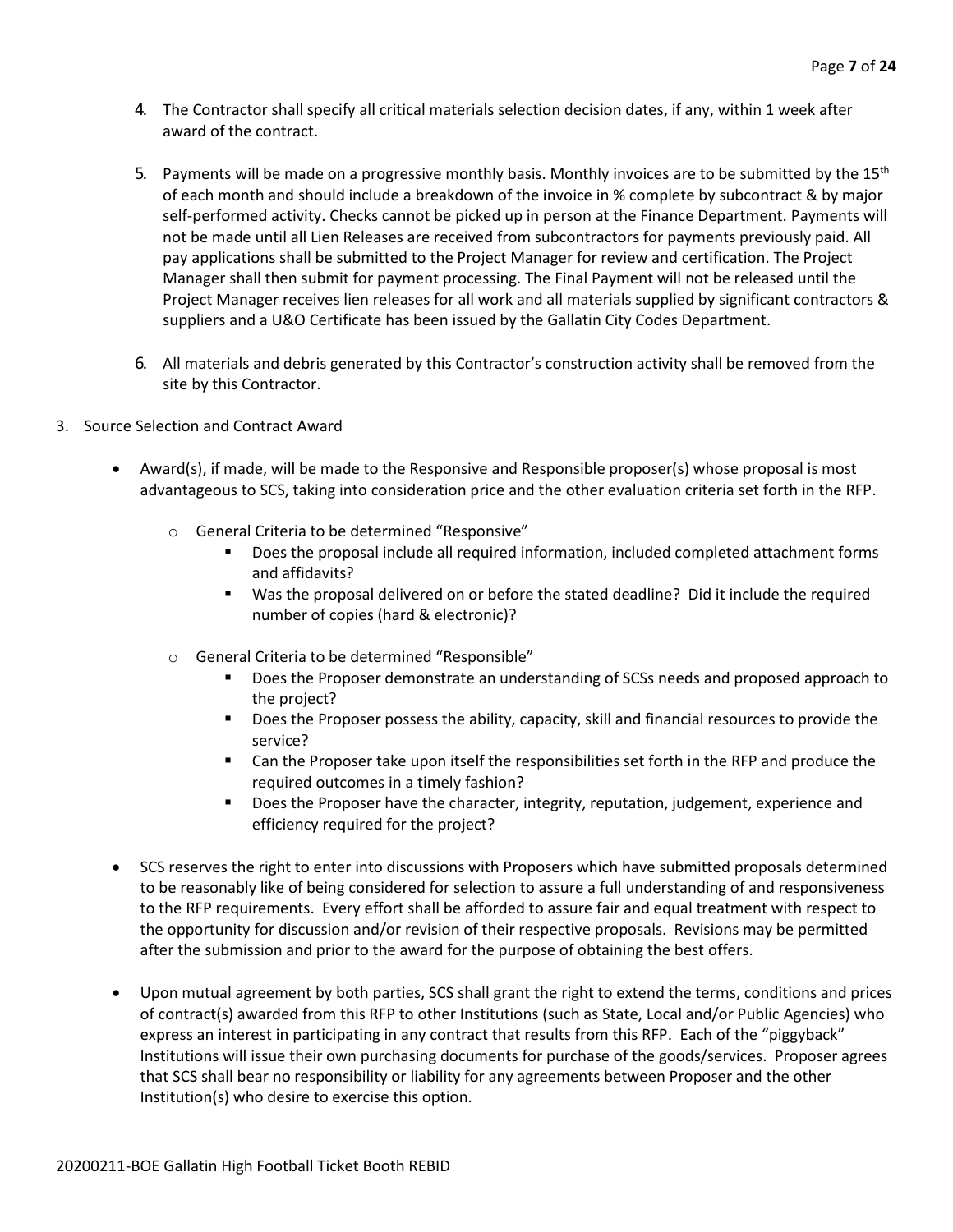- 4. The Contractor shall specify all critical materials selection decision dates, if any, within 1 week after award of the contract.
- 5. Payments will be made on a progressive monthly basis. Monthly invoices are to be submitted by the 15<sup>th</sup> of each month and should include a breakdown of the invoice in % complete by subcontract & by major self-performed activity. Checks cannot be picked up in person at the Finance Department. Payments will not be made until all Lien Releases are received from subcontractors for payments previously paid. All pay applications shall be submitted to the Project Manager for review and certification. The Project Manager shall then submit for payment processing. The Final Payment will not be released until the Project Manager receives lien releases for all work and all materials supplied by significant contractors & suppliers and a U&O Certificate has been issued by the Gallatin City Codes Department.
- 6. All materials and debris generated by this Contractor's construction activity shall be removed from the site by this Contractor.
- 3. Source Selection and Contract Award
	- Award(s), if made, will be made to the Responsive and Responsible proposer(s) whose proposal is most advantageous to SCS, taking into consideration price and the other evaluation criteria set forth in the RFP.
		- o General Criteria to be determined "Responsive"
			- Does the proposal include all required information, included completed attachment forms and affidavits?
			- Was the proposal delivered on or before the stated deadline? Did it include the required number of copies (hard & electronic)?
		- o General Criteria to be determined "Responsible"
			- Does the Proposer demonstrate an understanding of SCSs needs and proposed approach to the project?
			- Does the Proposer possess the ability, capacity, skill and financial resources to provide the service?
			- Can the Proposer take upon itself the responsibilities set forth in the RFP and produce the required outcomes in a timely fashion?
			- **■** Does the Proposer have the character, integrity, reputation, judgement, experience and efficiency required for the project?
	- SCS reserves the right to enter into discussions with Proposers which have submitted proposals determined to be reasonably like of being considered for selection to assure a full understanding of and responsiveness to the RFP requirements. Every effort shall be afforded to assure fair and equal treatment with respect to the opportunity for discussion and/or revision of their respective proposals. Revisions may be permitted after the submission and prior to the award for the purpose of obtaining the best offers.
	- Upon mutual agreement by both parties, SCS shall grant the right to extend the terms, conditions and prices of contract(s) awarded from this RFP to other Institutions (such as State, Local and/or Public Agencies) who express an interest in participating in any contract that results from this RFP. Each of the "piggyback" Institutions will issue their own purchasing documents for purchase of the goods/services. Proposer agrees that SCS shall bear no responsibility or liability for any agreements between Proposer and the other Institution(s) who desire to exercise this option.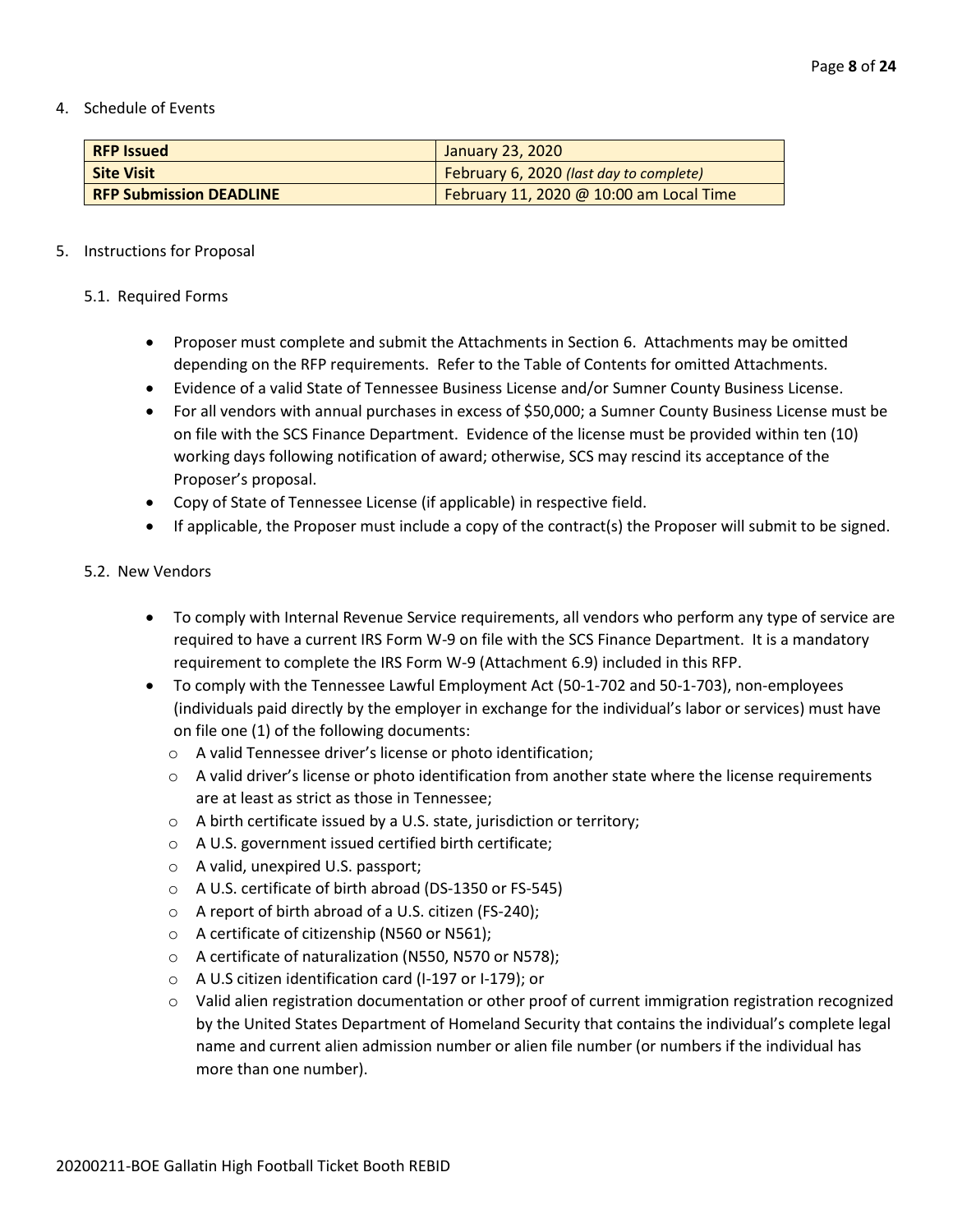4. Schedule of Events

| <b>RFP Issued</b>              | <b>January 23, 2020</b>                 |
|--------------------------------|-----------------------------------------|
| <b>Site Visit</b>              | February 6, 2020 (last day to complete) |
| <b>RFP Submission DEADLINE</b> | February 11, 2020 @ 10:00 am Local Time |

#### 5. Instructions for Proposal

#### 5.1. Required Forms

- Proposer must complete and submit the Attachments in Section 6. Attachments may be omitted depending on the RFP requirements. Refer to the Table of Contents for omitted Attachments.
- Evidence of a valid State of Tennessee Business License and/or Sumner County Business License.
- For all vendors with annual purchases in excess of \$50,000; a Sumner County Business License must be on file with the SCS Finance Department. Evidence of the license must be provided within ten (10) working days following notification of award; otherwise, SCS may rescind its acceptance of the Proposer's proposal.
- Copy of State of Tennessee License (if applicable) in respective field.
- If applicable, the Proposer must include a copy of the contract(s) the Proposer will submit to be signed.

#### 5.2. New Vendors

- To comply with Internal Revenue Service requirements, all vendors who perform any type of service are required to have a current IRS Form W-9 on file with the SCS Finance Department. It is a mandatory requirement to complete the IRS Form W-9 (Attachment 6.9) included in this RFP.
- To comply with the Tennessee Lawful Employment Act (50-1-702 and 50-1-703), non-employees (individuals paid directly by the employer in exchange for the individual's labor or services) must have on file one (1) of the following documents:
	- o A valid Tennessee driver's license or photo identification;
	- $\circ$  A valid driver's license or photo identification from another state where the license requirements are at least as strict as those in Tennessee;
	- o A birth certificate issued by a U.S. state, jurisdiction or territory;
	- o A U.S. government issued certified birth certificate;
	- o A valid, unexpired U.S. passport;
	- o A U.S. certificate of birth abroad (DS-1350 or FS-545)
	- o A report of birth abroad of a U.S. citizen (FS-240);
	- o A certificate of citizenship (N560 or N561);
	- o A certificate of naturalization (N550, N570 or N578);
	- o A U.S citizen identification card (I-197 or I-179); or
	- o Valid alien registration documentation or other proof of current immigration registration recognized by the United States Department of Homeland Security that contains the individual's complete legal name and current alien admission number or alien file number (or numbers if the individual has more than one number).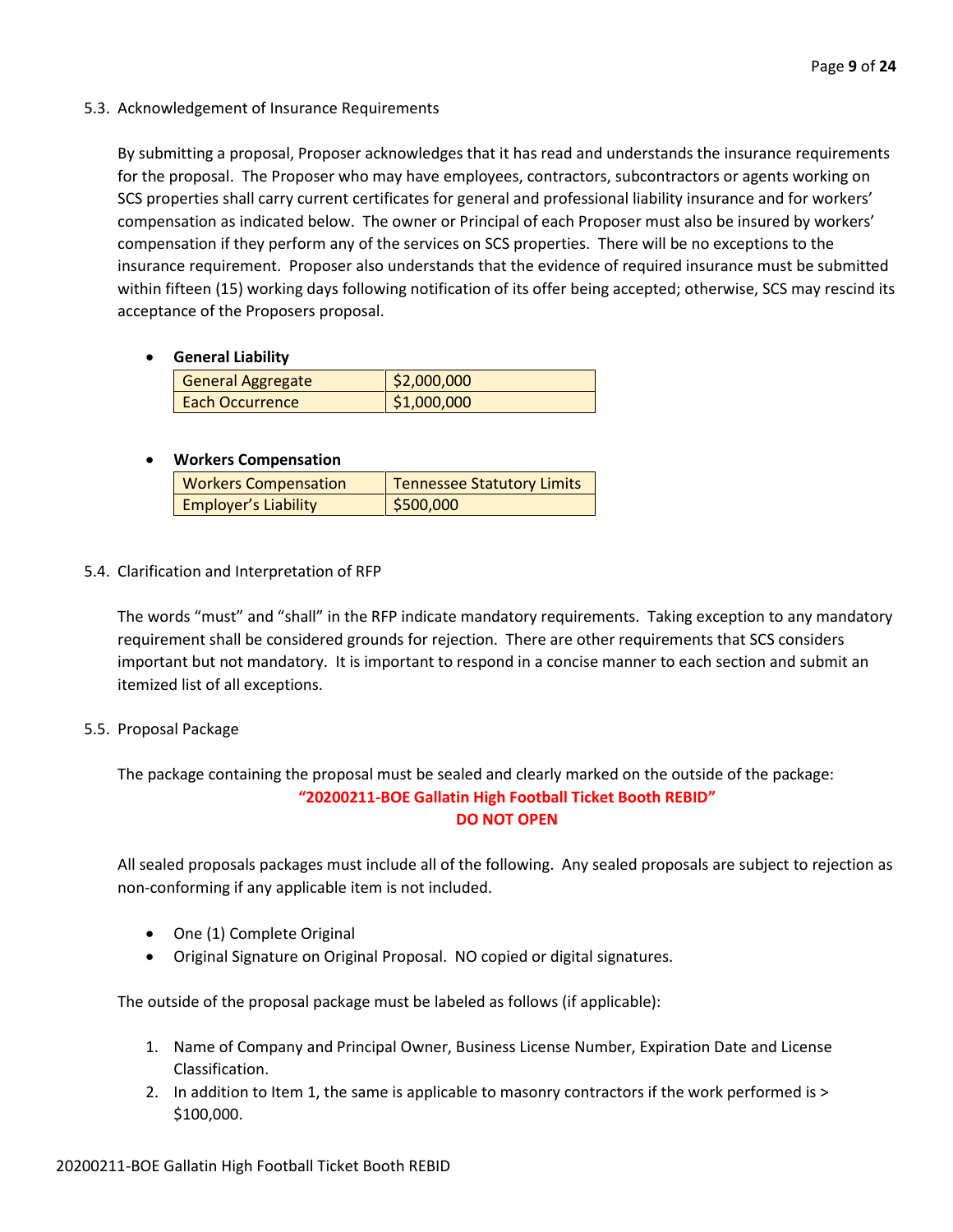5.3. Acknowledgement of Insurance Requirements

By submitting a proposal, Proposer acknowledges that it has read and understands the insurance requirements for the proposal. The Proposer who may have employees, contractors, subcontractors or agents working on SCS properties shall carry current certificates for general and professional liability insurance and for workers' compensation as indicated below. The owner or Principal of each Proposer must also be insured by workers' compensation if they perform any of the services on SCS properties. There will be no exceptions to the insurance requirement. Proposer also understands that the evidence of required insurance must be submitted within fifteen (15) working days following notification of its offer being accepted; otherwise, SCS may rescind its acceptance of the Proposers proposal.

• **General Liability**

| General Aggregate      | \$2,000,000 |
|------------------------|-------------|
| <b>Each Occurrence</b> | \$1,000,000 |

## • **Workers Compensation**

| <b>Workers Compensation</b> | Tennessee Statutory Limits |
|-----------------------------|----------------------------|
| <b>Employer's Liability</b> | \$500,000                  |

5.4. Clarification and Interpretation of RFP

The words "must" and "shall" in the RFP indicate mandatory requirements. Taking exception to any mandatory requirement shall be considered grounds for rejection. There are other requirements that SCS considers important but not mandatory. It is important to respond in a concise manner to each section and submit an itemized list of all exceptions.

5.5. Proposal Package

The package containing the proposal must be sealed and clearly marked on the outside of the package: **"20200211-BOE Gallatin High Football Ticket Booth REBID" DO NOT OPEN**

All sealed proposals packages must include all of the following. Any sealed proposals are subject to rejection as non-conforming if any applicable item is not included.

- One (1) Complete Original
- Original Signature on Original Proposal. NO copied or digital signatures.

The outside of the proposal package must be labeled as follows (if applicable):

- 1. Name of Company and Principal Owner, Business License Number, Expiration Date and License Classification.
- 2. In addition to Item 1, the same is applicable to masonry contractors if the work performed is > \$100,000.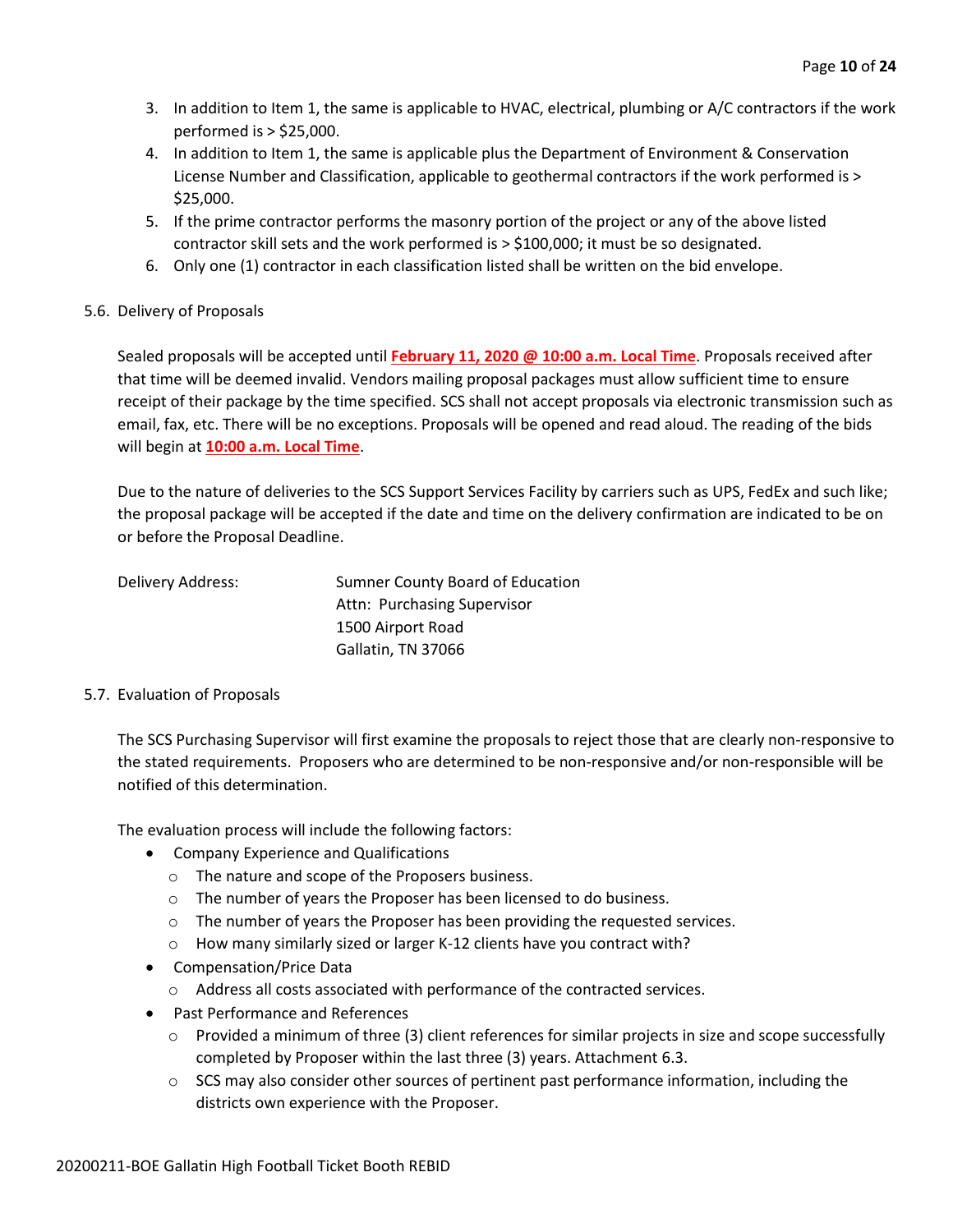- 3. In addition to Item 1, the same is applicable to HVAC, electrical, plumbing or A/C contractors if the work performed is > \$25,000.
- 4. In addition to Item 1, the same is applicable plus the Department of Environment & Conservation License Number and Classification, applicable to geothermal contractors if the work performed is > \$25,000.
- 5. If the prime contractor performs the masonry portion of the project or any of the above listed contractor skill sets and the work performed is > \$100,000; it must be so designated.
- 6. Only one (1) contractor in each classification listed shall be written on the bid envelope.

#### 5.6. Delivery of Proposals

Sealed proposals will be accepted until **February 11, 2020 @ 10:00 a.m. Local Time**. Proposals received after that time will be deemed invalid. Vendors mailing proposal packages must allow sufficient time to ensure receipt of their package by the time specified. SCS shall not accept proposals via electronic transmission such as email, fax, etc. There will be no exceptions. Proposals will be opened and read aloud. The reading of the bids will begin at **10:00 a.m. Local Time**.

Due to the nature of deliveries to the SCS Support Services Facility by carriers such as UPS, FedEx and such like; the proposal package will be accepted if the date and time on the delivery confirmation are indicated to be on or before the Proposal Deadline.

| Delivery Address: | Sumner County Board of Education |
|-------------------|----------------------------------|
|                   | Attn: Purchasing Supervisor      |
|                   | 1500 Airport Road                |
|                   | Gallatin, TN 37066               |

#### 5.7. Evaluation of Proposals

The SCS Purchasing Supervisor will first examine the proposals to reject those that are clearly non-responsive to the stated requirements. Proposers who are determined to be non-responsive and/or non-responsible will be notified of this determination.

The evaluation process will include the following factors:

- Company Experience and Qualifications
	- o The nature and scope of the Proposers business.
	- o The number of years the Proposer has been licensed to do business.
	- o The number of years the Proposer has been providing the requested services.
	- o How many similarly sized or larger K-12 clients have you contract with?
- Compensation/Price Data
	- o Address all costs associated with performance of the contracted services.
- Past Performance and References
	- $\circ$  Provided a minimum of three (3) client references for similar projects in size and scope successfully completed by Proposer within the last three (3) years. Attachment 6.3.
	- $\circ$  SCS may also consider other sources of pertinent past performance information, including the districts own experience with the Proposer.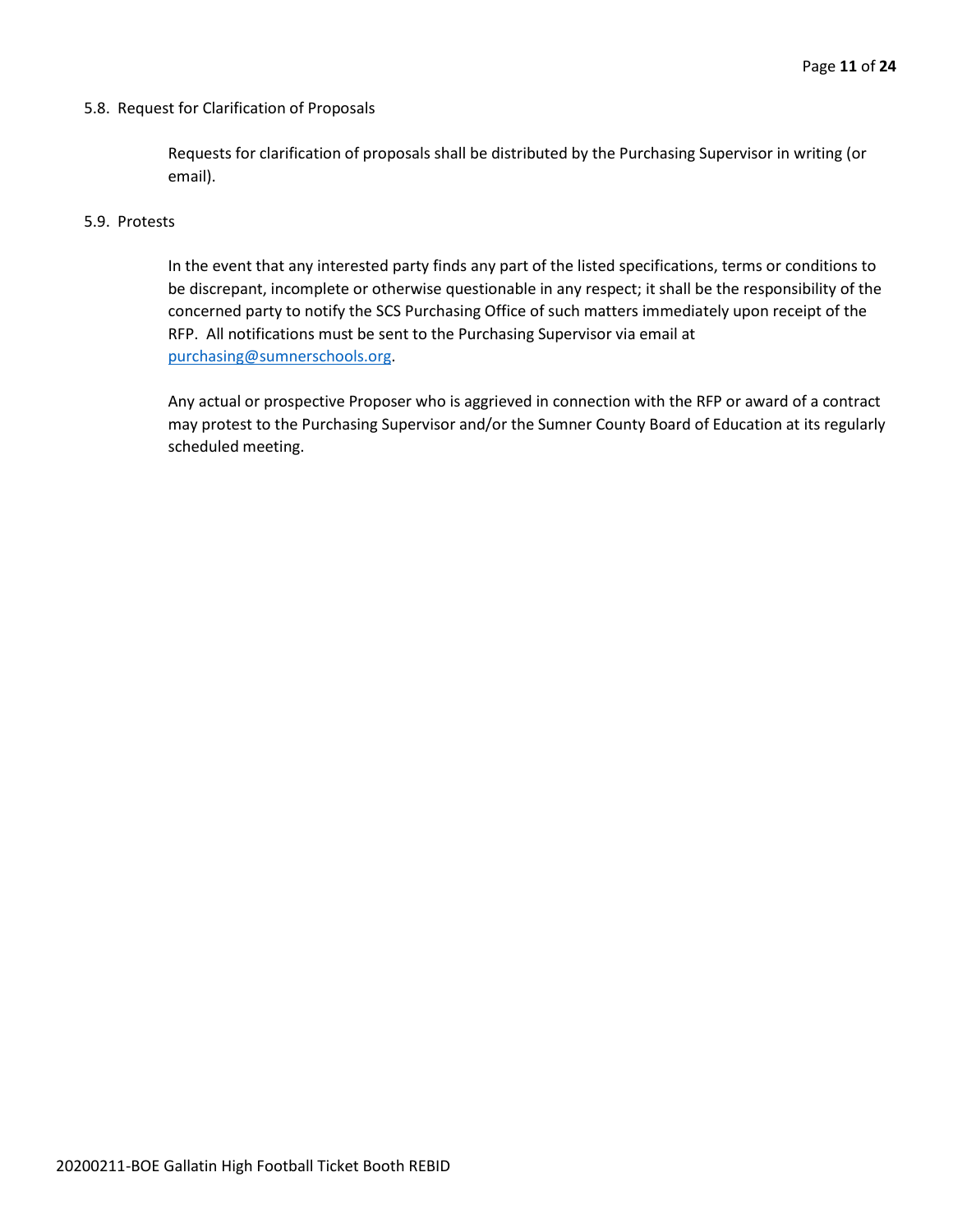#### 5.8. Request for Clarification of Proposals

Requests for clarification of proposals shall be distributed by the Purchasing Supervisor in writing (or email).

#### 5.9. Protests

In the event that any interested party finds any part of the listed specifications, terms or conditions to be discrepant, incomplete or otherwise questionable in any respect; it shall be the responsibility of the concerned party to notify the SCS Purchasing Office of such matters immediately upon receipt of the RFP. All notifications must be sent to the Purchasing Supervisor via email at [purchasing@sumnerschools.org.](mailto:purchasing@sumnerschools.org)

Any actual or prospective Proposer who is aggrieved in connection with the RFP or award of a contract may protest to the Purchasing Supervisor and/or the Sumner County Board of Education at its regularly scheduled meeting.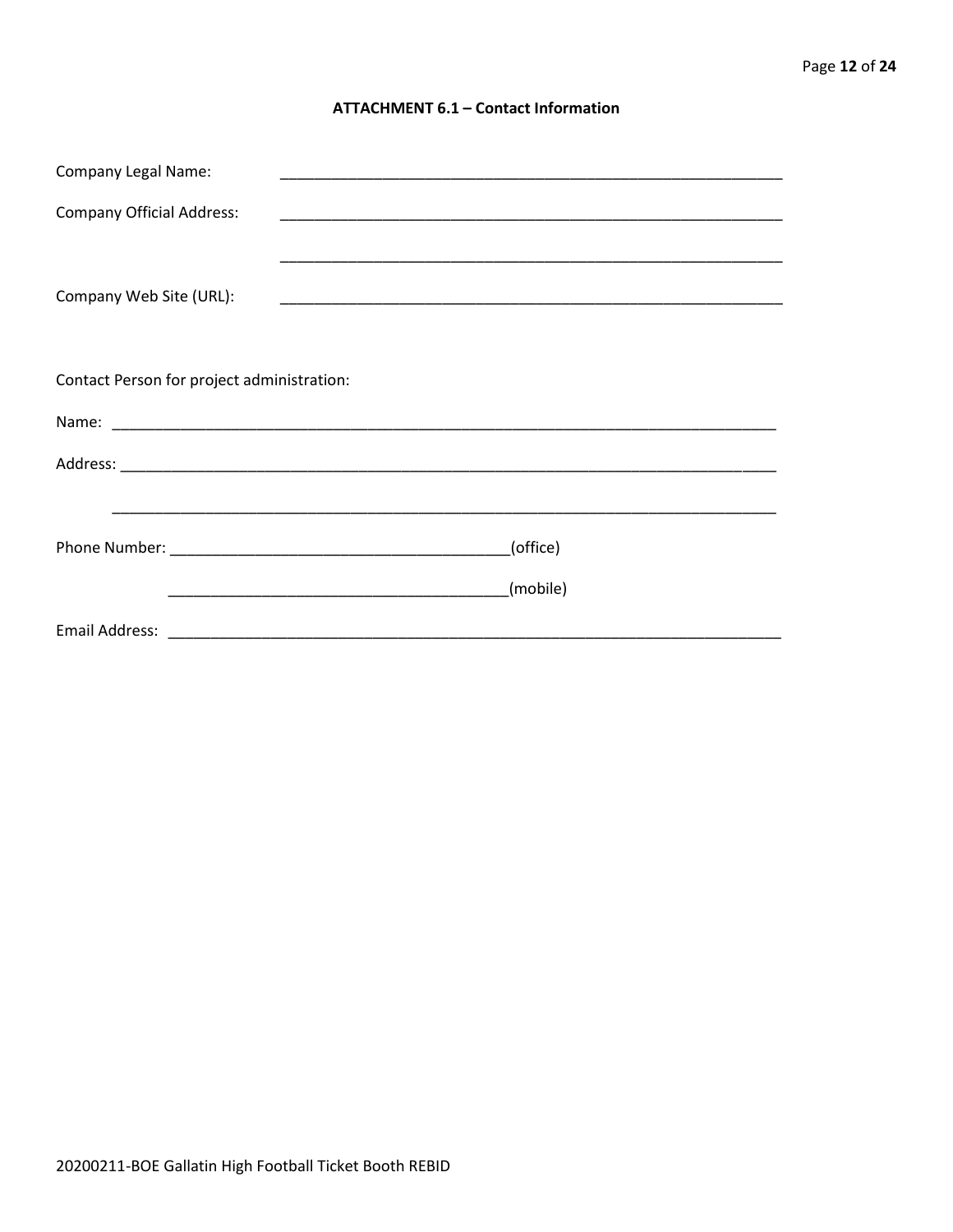#### **ATTACHMENT 6.1 - Contact Information**

| <b>Company Legal Name:</b>                 |          |  |
|--------------------------------------------|----------|--|
| <b>Company Official Address:</b>           |          |  |
|                                            |          |  |
| Company Web Site (URL):                    |          |  |
|                                            |          |  |
|                                            |          |  |
| Contact Person for project administration: |          |  |
|                                            |          |  |
|                                            |          |  |
|                                            |          |  |
| (office)                                   |          |  |
|                                            |          |  |
|                                            | (mobile) |  |
|                                            |          |  |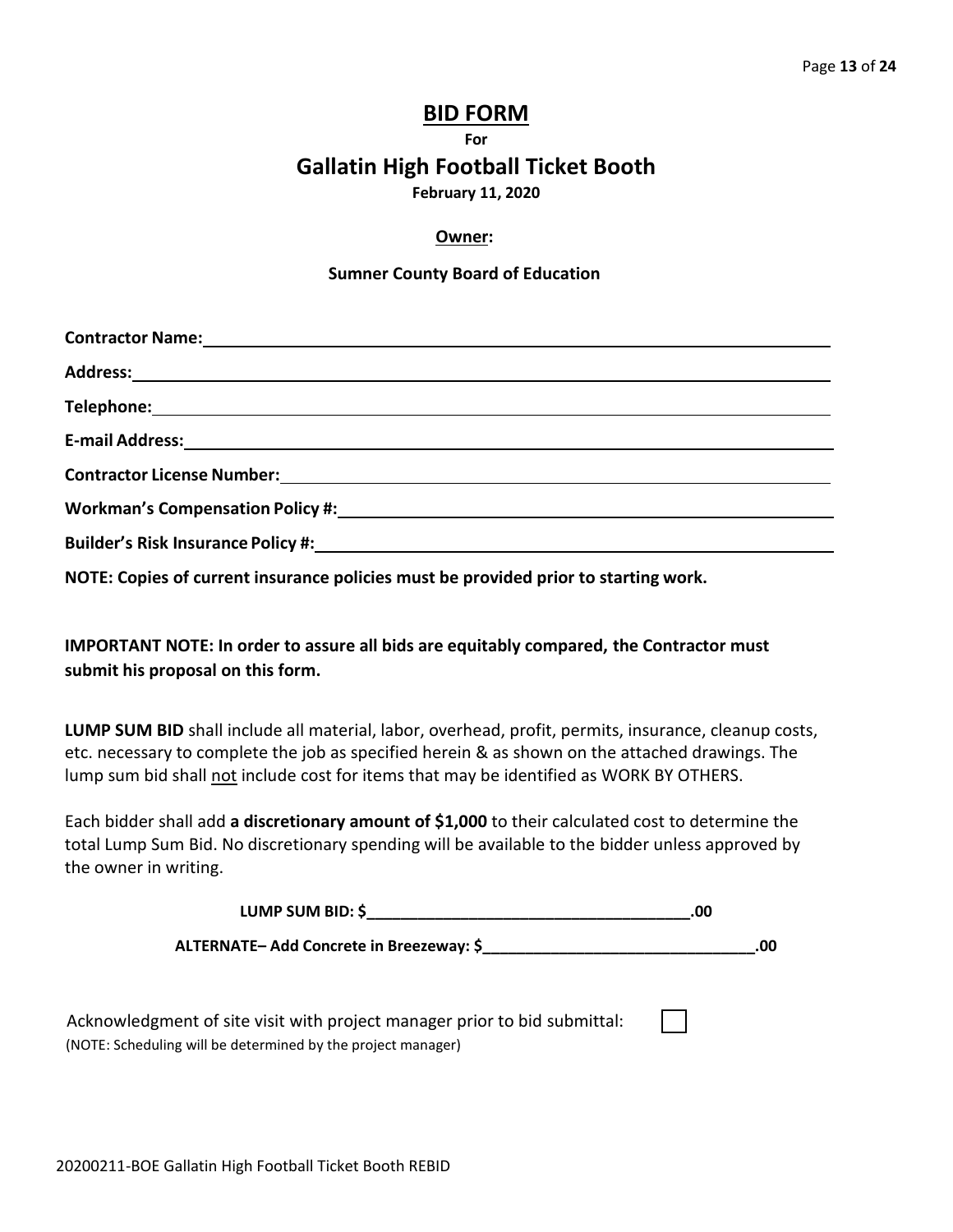# **BID FORM**

**For**

# **Gallatin High Football Ticket Booth**

**February 11, 2020**

### **Owner:**

#### **Sumner County Board of Education**

| Workman's Compensation Policy #: Network and American Assembly Policy Assembly                                                                                                                                                 |
|--------------------------------------------------------------------------------------------------------------------------------------------------------------------------------------------------------------------------------|
| Builder's Risk Insurance Policy #: New York Contract Contract Contract Contract Contract Contract Contract Contract Contract Contract Contract Contract Contract Contract Contract Contract Contract Contract Contract Contrac |
|                                                                                                                                                                                                                                |

**NOTE: Copies of current insurance policies must be provided prior to starting work.**

**IMPORTANT NOTE: In order to assure all bids are equitably compared, the Contractor must submit his proposal on this form.**

**LUMP SUM BID** shall include all material, labor, overhead, profit, permits, insurance, cleanup costs, etc. necessary to complete the job as specified herein & as shown on the attached drawings. The lump sum bid shall not include cost for items that may be identified as WORK BY OTHERS.

Each bidder shall add **a discretionary amount of \$1,000** to their calculated cost to determine the total Lump Sum Bid. No discretionary spending will be available to the bidder unless approved by the owner in writing.

| LUMP SUM BID: \$________________________                                                                                                  | .00 |     |
|-------------------------------------------------------------------------------------------------------------------------------------------|-----|-----|
| <b>ALTERNATE- Add Concrete in Breezeway: \$</b>                                                                                           |     | .00 |
| Acknowledgment of site visit with project manager prior to bid submittal:<br>(NOTE: Scheduling will be determined by the project manager) |     |     |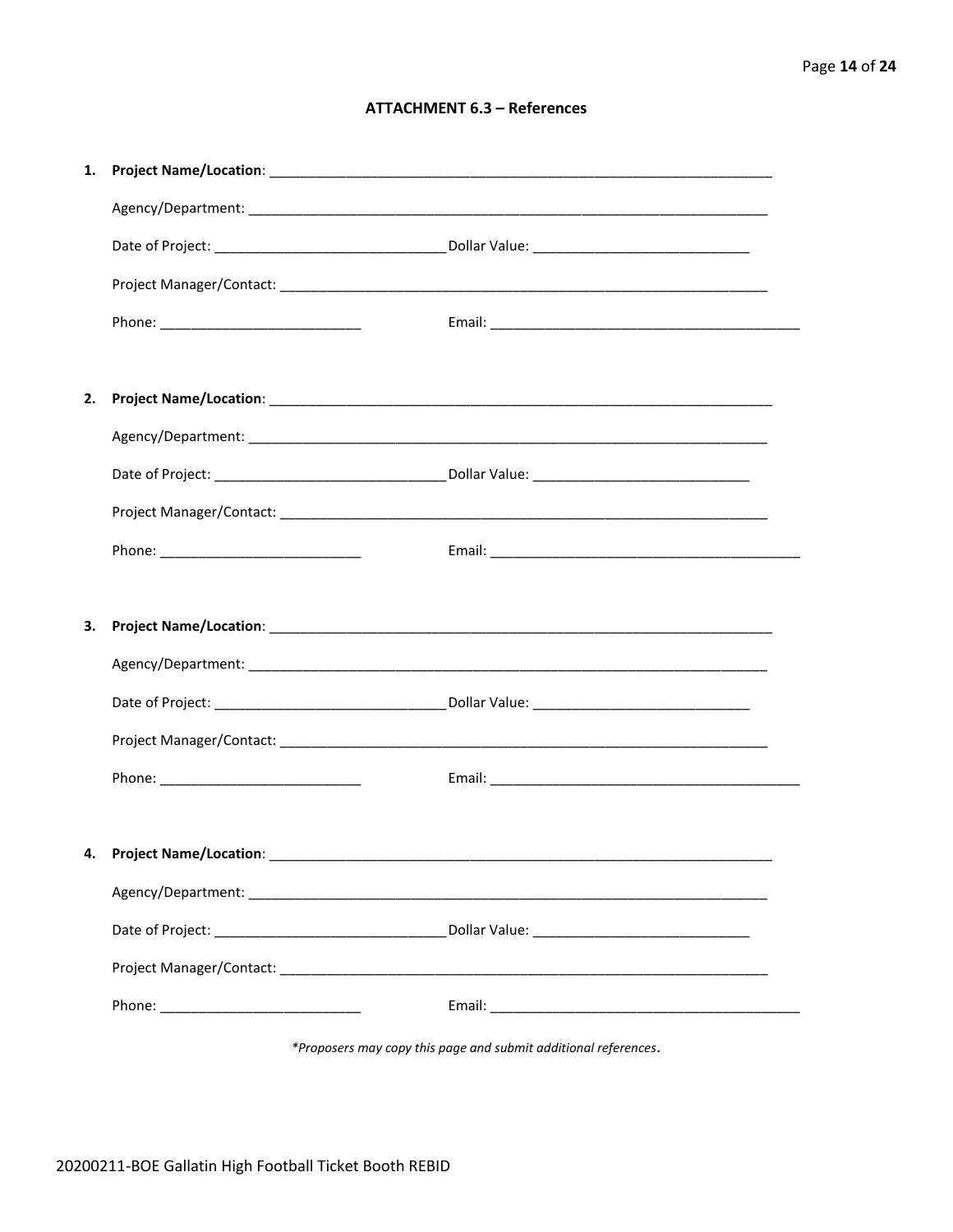#### **ATTACHMENT 6.3 - References**

| 1. |                                     |  |
|----|-------------------------------------|--|
|    |                                     |  |
|    |                                     |  |
|    |                                     |  |
|    |                                     |  |
|    |                                     |  |
| 2. |                                     |  |
|    |                                     |  |
|    |                                     |  |
|    |                                     |  |
|    |                                     |  |
|    |                                     |  |
| 3. |                                     |  |
|    |                                     |  |
|    |                                     |  |
|    |                                     |  |
|    |                                     |  |
|    |                                     |  |
|    | 4. Project Name/Location: _________ |  |
|    |                                     |  |
|    |                                     |  |
|    |                                     |  |
|    |                                     |  |
|    |                                     |  |
|    |                                     |  |

\*Proposers may copy this page and submit additional references.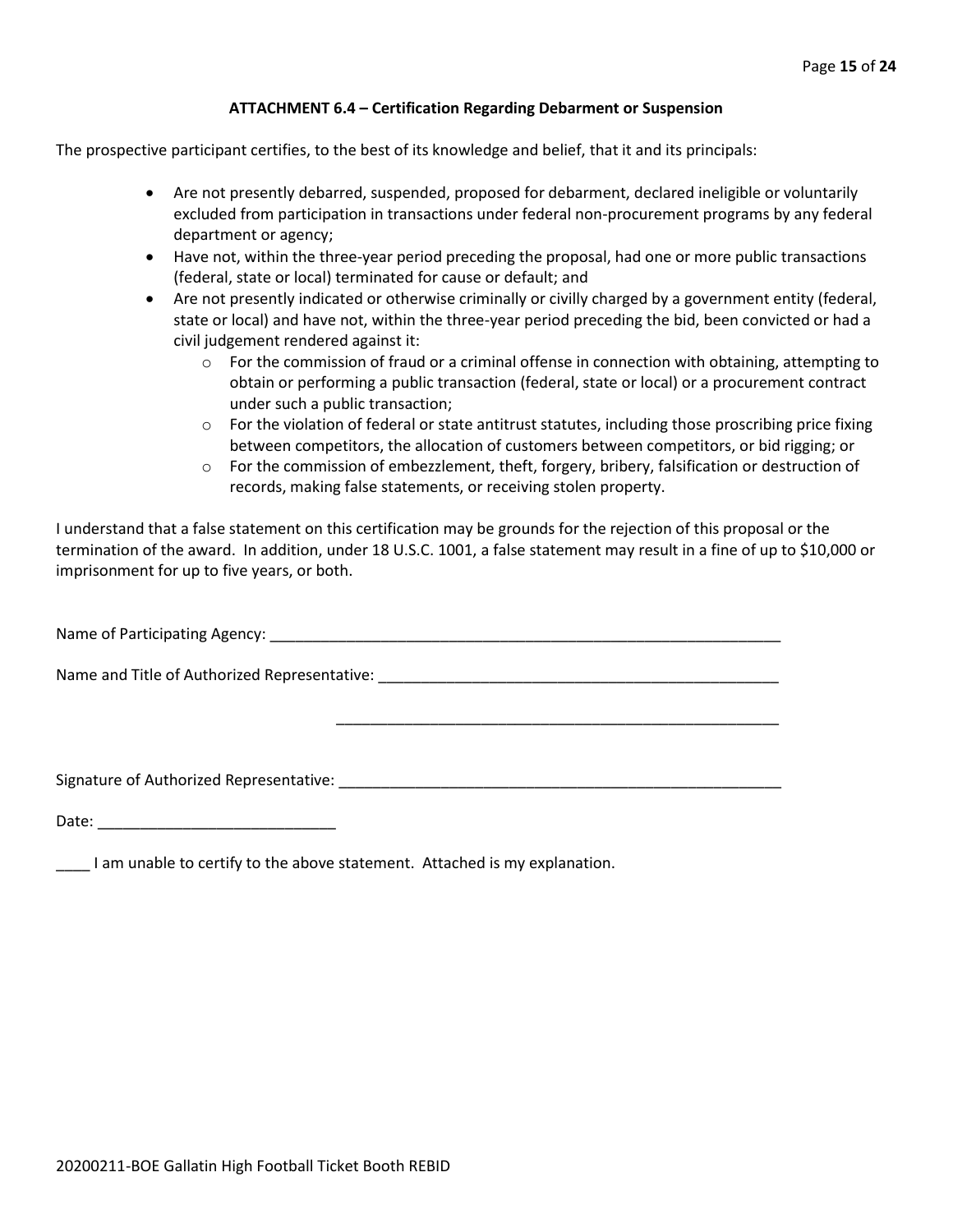#### **ATTACHMENT 6.4 – Certification Regarding Debarment or Suspension**

The prospective participant certifies, to the best of its knowledge and belief, that it and its principals:

- Are not presently debarred, suspended, proposed for debarment, declared ineligible or voluntarily excluded from participation in transactions under federal non-procurement programs by any federal department or agency;
- Have not, within the three-year period preceding the proposal, had one or more public transactions (federal, state or local) terminated for cause or default; and
- Are not presently indicated or otherwise criminally or civilly charged by a government entity (federal, state or local) and have not, within the three-year period preceding the bid, been convicted or had a civil judgement rendered against it:
	- $\circ$  For the commission of fraud or a criminal offense in connection with obtaining, attempting to obtain or performing a public transaction (federal, state or local) or a procurement contract under such a public transaction;
	- $\circ$  For the violation of federal or state antitrust statutes, including those proscribing price fixing between competitors, the allocation of customers between competitors, or bid rigging; or
	- $\circ$  For the commission of embezzlement, theft, forgery, bribery, falsification or destruction of records, making false statements, or receiving stolen property.

\_\_\_\_\_\_\_\_\_\_\_\_\_\_\_\_\_\_\_\_\_\_\_\_\_\_\_\_\_\_\_\_\_\_\_\_\_\_\_\_\_\_\_\_\_\_\_\_\_\_\_\_

I understand that a false statement on this certification may be grounds for the rejection of this proposal or the termination of the award. In addition, under 18 U.S.C. 1001, a false statement may result in a fine of up to \$10,000 or imprisonment for up to five years, or both.

Name of Participating Agency: \_\_\_\_\_\_\_\_\_\_\_\_\_\_\_\_\_\_\_\_\_\_\_\_\_\_\_\_\_\_\_\_\_\_\_\_\_\_\_\_\_\_\_\_\_\_\_\_\_\_\_\_\_\_\_\_\_\_\_\_

Name and Title of Authorized Representative: \_\_\_\_\_\_\_\_\_\_\_\_\_\_\_\_\_\_\_\_\_\_\_\_\_\_\_\_\_\_\_\_\_\_\_

Signature of Authorized Representative: \_\_\_\_\_\_\_\_\_\_\_\_\_\_\_\_\_\_\_\_\_\_\_\_\_\_\_\_\_\_\_\_\_\_\_\_\_\_\_\_\_\_\_\_\_\_\_\_\_\_\_\_

Date: \_\_\_\_\_\_\_\_\_\_\_\_\_\_\_\_\_\_\_\_\_\_\_\_\_\_\_\_

\_\_\_\_ I am unable to certify to the above statement. Attached is my explanation.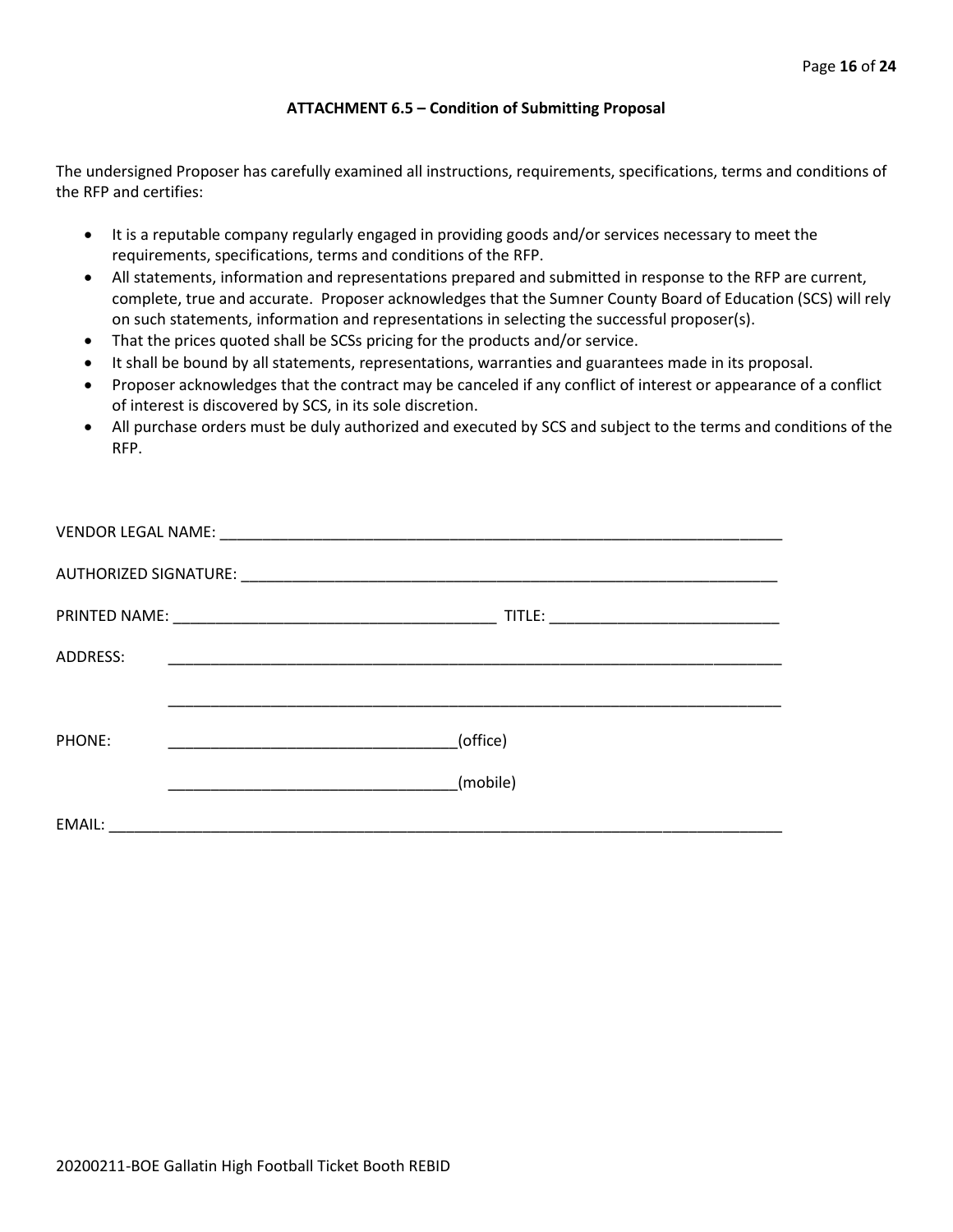#### **ATTACHMENT 6.5 – Condition of Submitting Proposal**

The undersigned Proposer has carefully examined all instructions, requirements, specifications, terms and conditions of the RFP and certifies:

- It is a reputable company regularly engaged in providing goods and/or services necessary to meet the requirements, specifications, terms and conditions of the RFP.
- All statements, information and representations prepared and submitted in response to the RFP are current, complete, true and accurate. Proposer acknowledges that the Sumner County Board of Education (SCS) will rely on such statements, information and representations in selecting the successful proposer(s).
- That the prices quoted shall be SCSs pricing for the products and/or service.
- It shall be bound by all statements, representations, warranties and guarantees made in its proposal.
- Proposer acknowledges that the contract may be canceled if any conflict of interest or appearance of a conflict of interest is discovered by SCS, in its sole discretion.
- All purchase orders must be duly authorized and executed by SCS and subject to the terms and conditions of the RFP.

| ADDRESS: |                                                                                                                      |
|----------|----------------------------------------------------------------------------------------------------------------------|
|          |                                                                                                                      |
| PHONE:   | (office)                                                                                                             |
|          | (mobile)                                                                                                             |
| EMAIL:   | <u> 2001 - Jan Barbarat, manager eta izan zen erroman ez ez artera ez ez artera ez artera ez ez artera ez ez art</u> |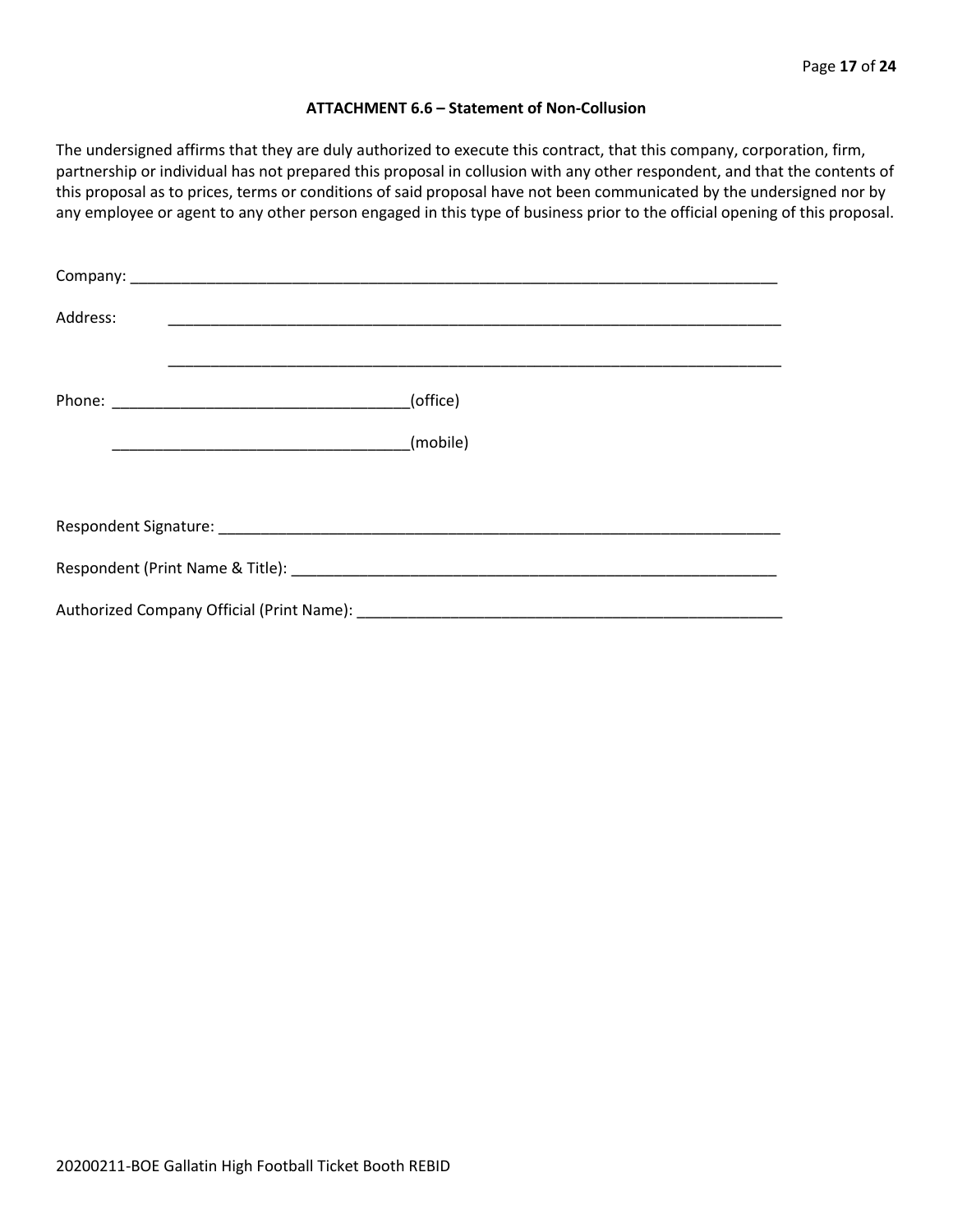#### **ATTACHMENT 6.6 – Statement of Non-Collusion**

The undersigned affirms that they are duly authorized to execute this contract, that this company, corporation, firm, partnership or individual has not prepared this proposal in collusion with any other respondent, and that the contents of this proposal as to prices, terms or conditions of said proposal have not been communicated by the undersigned nor by any employee or agent to any other person engaged in this type of business prior to the official opening of this proposal.

| Address: |          |  |  |  |  |  |
|----------|----------|--|--|--|--|--|
|          | (office) |  |  |  |  |  |
|          | (mobile) |  |  |  |  |  |
|          |          |  |  |  |  |  |
|          |          |  |  |  |  |  |
|          |          |  |  |  |  |  |
|          |          |  |  |  |  |  |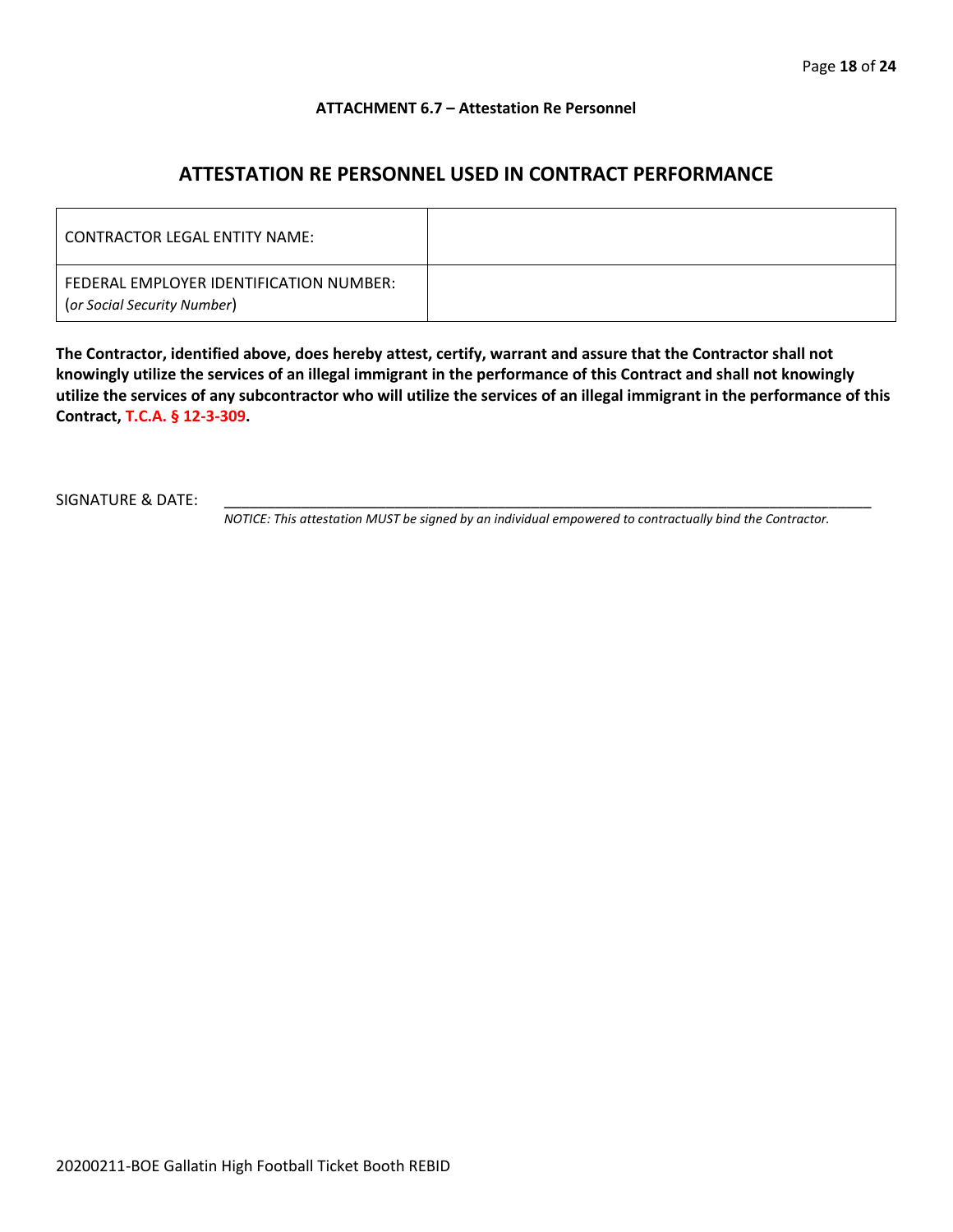#### **ATTACHMENT 6.7 – Attestation Re Personnel**

# **ATTESTATION RE PERSONNEL USED IN CONTRACT PERFORMANCE**

| CONTRACTOR LEGAL ENTITY NAME:                                          |  |
|------------------------------------------------------------------------|--|
| FEDERAL EMPLOYER IDENTIFICATION NUMBER:<br>(or Social Security Number) |  |

**The Contractor, identified above, does hereby attest, certify, warrant and assure that the Contractor shall not knowingly utilize the services of an illegal immigrant in the performance of this Contract and shall not knowingly utilize the services of any subcontractor who will utilize the services of an illegal immigrant in the performance of this Contract, T.C.A. § 12-3-309.**

SIGNATURE & DATE:

*NOTICE: This attestation MUST be signed by an individual empowered to contractually bind the Contractor.*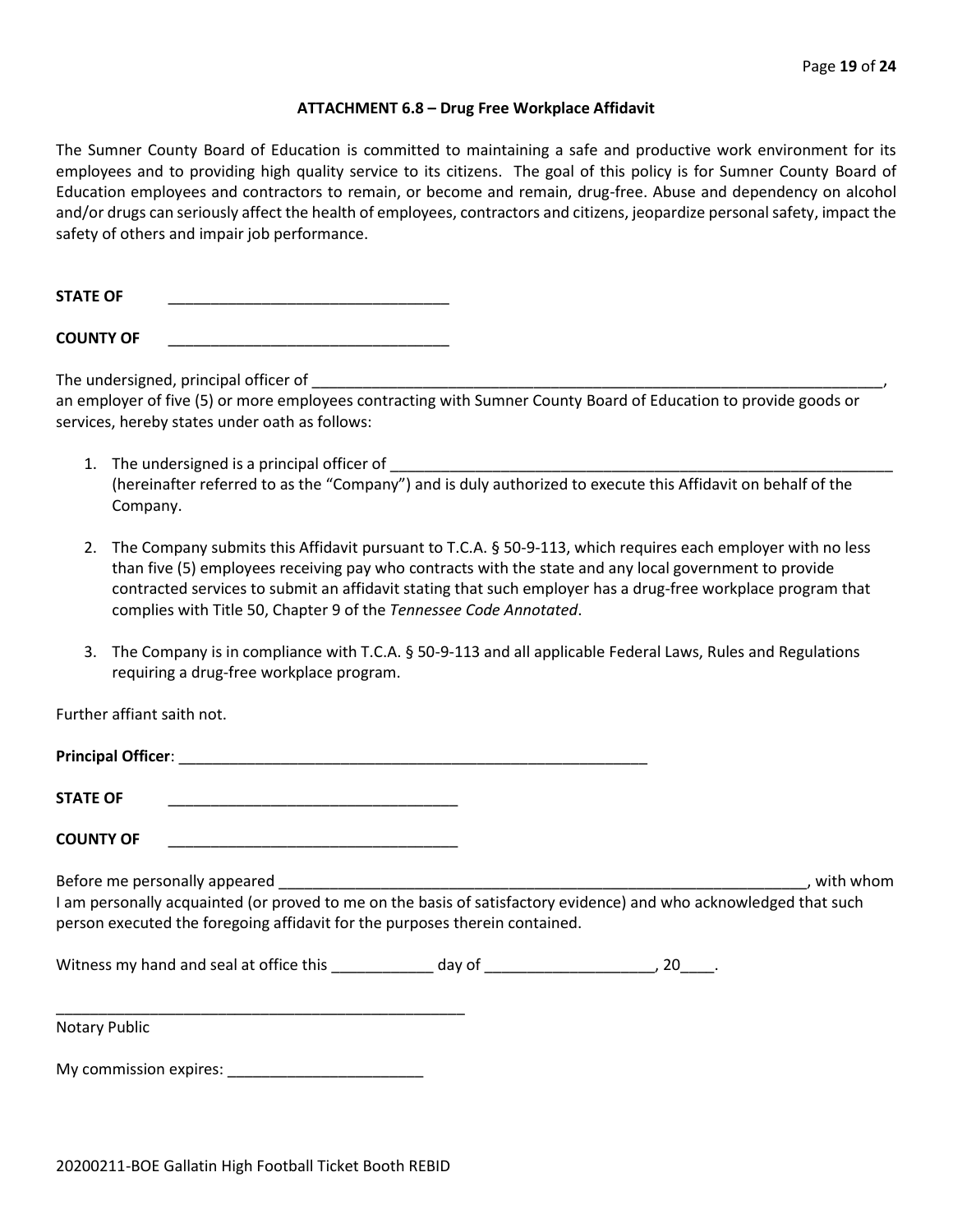#### **ATTACHMENT 6.8 – Drug Free Workplace Affidavit**

The Sumner County Board of Education is committed to maintaining a safe and productive work environment for its employees and to providing high quality service to its citizens. The goal of this policy is for Sumner County Board of Education employees and contractors to remain, or become and remain, drug-free. Abuse and dependency on alcohol and/or drugs can seriously affect the health of employees, contractors and citizens, jeopardize personal safety, impact the safety of others and impair job performance.

STATE OF

**COUNTY OF** \_\_\_\_\_\_\_\_\_\_\_\_\_\_\_\_\_\_\_\_\_\_\_\_\_\_\_\_\_\_\_\_\_

The undersigned, principal officer of

an employer of five (5) or more employees contracting with Sumner County Board of Education to provide goods or services, hereby states under oath as follows:

- 1. The undersigned is a principal officer of (hereinafter referred to as the "Company") and is duly authorized to execute this Affidavit on behalf of the Company.
- 2. The Company submits this Affidavit pursuant to T.C.A. § 50-9-113, which requires each employer with no less than five (5) employees receiving pay who contracts with the state and any local government to provide contracted services to submit an affidavit stating that such employer has a drug-free workplace program that complies with Title 50, Chapter 9 of the *Tennessee Code Annotated*.
- 3. The Company is in compliance with T.C.A. § 50-9-113 and all applicable Federal Laws, Rules and Regulations requiring a drug-free workplace program.

Further affiant saith not.

| <b>Principal Officer:</b> |  |
|---------------------------|--|
| <b>STATE OF</b>           |  |

**COUNTY OF** \_\_\_\_\_\_\_\_\_\_\_\_\_\_\_\_\_\_\_\_\_\_\_\_\_\_\_\_\_\_\_\_\_\_

Before me personally appeared \_\_\_\_\_\_\_\_\_\_\_\_\_\_\_\_\_\_\_\_\_\_\_\_\_\_\_\_\_\_\_\_\_\_\_\_\_\_\_\_\_\_\_\_\_\_\_\_\_\_\_\_\_\_\_\_\_\_\_\_\_\_, with whom I am personally acquainted (or proved to me on the basis of satisfactory evidence) and who acknowledged that such person executed the foregoing affidavit for the purposes therein contained.

Witness my hand and seal at office this \_\_\_\_\_\_\_\_\_\_\_\_\_ day of \_\_\_\_\_\_\_\_\_\_\_\_\_\_\_\_\_\_\_\_, 20\_\_\_\_.

Notary Public

My commission expires: \_\_\_\_\_\_\_\_\_\_\_\_\_\_\_\_\_\_\_\_\_\_\_

\_\_\_\_\_\_\_\_\_\_\_\_\_\_\_\_\_\_\_\_\_\_\_\_\_\_\_\_\_\_\_\_\_\_\_\_\_\_\_\_\_\_\_\_\_\_\_\_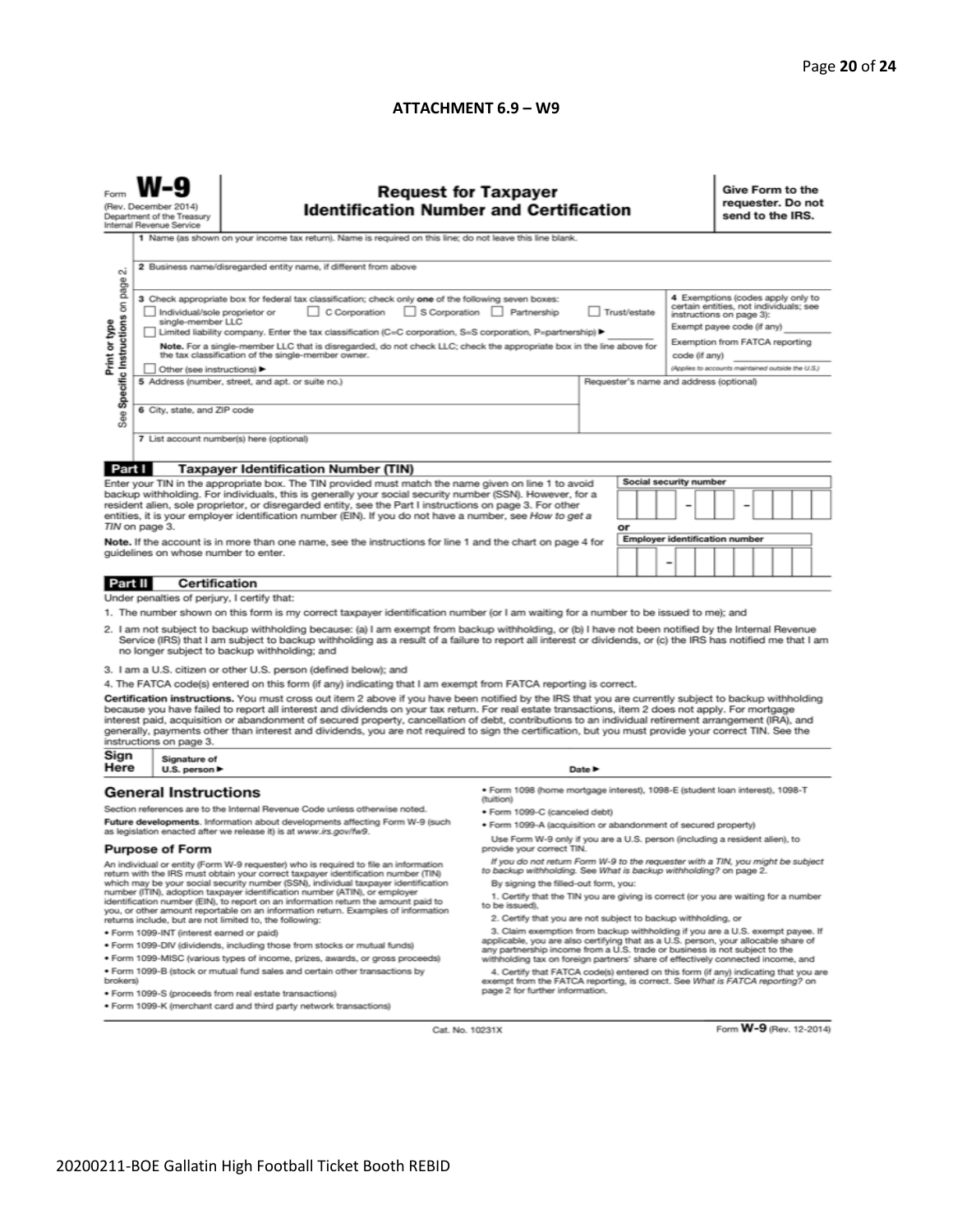#### **ATTACHMENT 6.9 – W9**

|                                                                                                                                                                                                                                                                                                                                                                                                                                                                                                                                                                                                                                                                                                                                                                             | <b>Request for Taxpayer</b><br>(Rev. December 2014)<br><b>Identification Number and Certification</b><br>Department of the Treasury<br>Internal Revenue Service<br>1 Name (as shown on your income tax return). Name is required on this line; do not leave this line blank.                                                                                                                                  |                                                                                                                                                                                                                                                                                                                                                                                                                                          |                                                                                                                                                                                                                                                        |        |    |   |                                       |                                                                                                                                    | Give Form to the<br>requester. Do not<br>send to the IRS. |  |  |  |  |  |
|-----------------------------------------------------------------------------------------------------------------------------------------------------------------------------------------------------------------------------------------------------------------------------------------------------------------------------------------------------------------------------------------------------------------------------------------------------------------------------------------------------------------------------------------------------------------------------------------------------------------------------------------------------------------------------------------------------------------------------------------------------------------------------|---------------------------------------------------------------------------------------------------------------------------------------------------------------------------------------------------------------------------------------------------------------------------------------------------------------------------------------------------------------------------------------------------------------|------------------------------------------------------------------------------------------------------------------------------------------------------------------------------------------------------------------------------------------------------------------------------------------------------------------------------------------------------------------------------------------------------------------------------------------|--------------------------------------------------------------------------------------------------------------------------------------------------------------------------------------------------------------------------------------------------------|--------|----|---|---------------------------------------|------------------------------------------------------------------------------------------------------------------------------------|-----------------------------------------------------------|--|--|--|--|--|
| σû                                                                                                                                                                                                                                                                                                                                                                                                                                                                                                                                                                                                                                                                                                                                                                          | 2 Business name/disregarded entity name, if different from above<br>4 Exemptions (codes apply only to<br>3 Check appropriate box for federal tax classification; check only one of the following seven boxes:                                                                                                                                                                                                 |                                                                                                                                                                                                                                                                                                                                                                                                                                          |                                                                                                                                                                                                                                                        |        |    |   |                                       |                                                                                                                                    |                                                           |  |  |  |  |  |
| Specific Instructions on page<br>Print or type                                                                                                                                                                                                                                                                                                                                                                                                                                                                                                                                                                                                                                                                                                                              | C Corporation<br>S Corporation Partnership<br>Trust/estate<br>Individual/sole proprietor or<br>single-member LLC<br>Limited liability company. Enter the tax classification (C=C corporation, S=S corporation, P=partnership) ▶<br>Note. For a single-member LLC that is disregarded, do not check LLC; check the appropriate box in the line above for<br>the tax classification of the single-member owner. |                                                                                                                                                                                                                                                                                                                                                                                                                                          |                                                                                                                                                                                                                                                        |        |    |   |                                       | certain entities, not individuals; see<br>instructions on page 3):<br>Exempt payee code (if any)<br>Exemption from FATCA reporting |                                                           |  |  |  |  |  |
|                                                                                                                                                                                                                                                                                                                                                                                                                                                                                                                                                                                                                                                                                                                                                                             | Other (see instructions) ▶<br>5 Address (number, street, and apt. or suite no.)<br>6 City, state, and ZIP code                                                                                                                                                                                                                                                                                                |                                                                                                                                                                                                                                                                                                                                                                                                                                          |                                                                                                                                                                                                                                                        |        |    |   |                                       | code (if any)<br>(Applies to accounts maintained outside the U.S.)<br>Requester's name and address (optional)                      |                                                           |  |  |  |  |  |
|                                                                                                                                                                                                                                                                                                                                                                                                                                                                                                                                                                                                                                                                                                                                                                             | See<br>7 List account number(s) here (optional)                                                                                                                                                                                                                                                                                                                                                               |                                                                                                                                                                                                                                                                                                                                                                                                                                          |                                                                                                                                                                                                                                                        |        |    |   |                                       |                                                                                                                                    |                                                           |  |  |  |  |  |
| Part I                                                                                                                                                                                                                                                                                                                                                                                                                                                                                                                                                                                                                                                                                                                                                                      |                                                                                                                                                                                                                                                                                                                                                                                                               | <b>Taxpayer Identification Number (TIN)</b>                                                                                                                                                                                                                                                                                                                                                                                              |                                                                                                                                                                                                                                                        |        |    |   |                                       |                                                                                                                                    |                                                           |  |  |  |  |  |
|                                                                                                                                                                                                                                                                                                                                                                                                                                                                                                                                                                                                                                                                                                                                                                             |                                                                                                                                                                                                                                                                                                                                                                                                               | Enter your TIN in the appropriate box. The TIN provided must match the name given on line 1 to avoid<br>backup withholding. For individuals, this is generally your social security number (SSN). However, for a<br>resident alien, sole proprietor, or disregarded entity, see the Part I instructions on page 3. For other<br>entities, it is your employer identification number (EIN). If you do not have a number, see How to get a | Social security number                                                                                                                                                                                                                                 |        |    |   |                                       |                                                                                                                                    |                                                           |  |  |  |  |  |
|                                                                                                                                                                                                                                                                                                                                                                                                                                                                                                                                                                                                                                                                                                                                                                             | TIN on page 3.                                                                                                                                                                                                                                                                                                                                                                                                |                                                                                                                                                                                                                                                                                                                                                                                                                                          |                                                                                                                                                                                                                                                        |        | or |   |                                       |                                                                                                                                    |                                                           |  |  |  |  |  |
| Note. If the account is in more than one name, see the instructions for line 1 and the chart on page 4 for<br>guidelines on whose number to enter.                                                                                                                                                                                                                                                                                                                                                                                                                                                                                                                                                                                                                          |                                                                                                                                                                                                                                                                                                                                                                                                               |                                                                                                                                                                                                                                                                                                                                                                                                                                          |                                                                                                                                                                                                                                                        |        |    | ۰ | <b>Employer identification number</b> |                                                                                                                                    |                                                           |  |  |  |  |  |
| Part II                                                                                                                                                                                                                                                                                                                                                                                                                                                                                                                                                                                                                                                                                                                                                                     | <b>Certification</b>                                                                                                                                                                                                                                                                                                                                                                                          |                                                                                                                                                                                                                                                                                                                                                                                                                                          |                                                                                                                                                                                                                                                        |        |    |   |                                       |                                                                                                                                    |                                                           |  |  |  |  |  |
|                                                                                                                                                                                                                                                                                                                                                                                                                                                                                                                                                                                                                                                                                                                                                                             | Under penalties of perjury, I certify that:                                                                                                                                                                                                                                                                                                                                                                   |                                                                                                                                                                                                                                                                                                                                                                                                                                          |                                                                                                                                                                                                                                                        |        |    |   |                                       |                                                                                                                                    |                                                           |  |  |  |  |  |
| 1. The number shown on this form is my correct taxpayer identification number (or I am waiting for a number to be issued to me); and<br>2. I am not subject to backup withholding because: (a) I am exempt from backup withholding, or (b) I have not been notified by the Internal Revenue<br>Service (IRS) that I am subject to backup withholding as a result of a failure to report all interest or dividends, or (c) the IRS has notified me that I am<br>no longer subject to backup withholding; and                                                                                                                                                                                                                                                                 |                                                                                                                                                                                                                                                                                                                                                                                                               |                                                                                                                                                                                                                                                                                                                                                                                                                                          |                                                                                                                                                                                                                                                        |        |    |   |                                       |                                                                                                                                    |                                                           |  |  |  |  |  |
|                                                                                                                                                                                                                                                                                                                                                                                                                                                                                                                                                                                                                                                                                                                                                                             |                                                                                                                                                                                                                                                                                                                                                                                                               | 3. I am a U.S. citizen or other U.S. person (defined below); and                                                                                                                                                                                                                                                                                                                                                                         |                                                                                                                                                                                                                                                        |        |    |   |                                       |                                                                                                                                    |                                                           |  |  |  |  |  |
| 4. The FATCA code(s) entered on this form (if any) indicating that I am exempt from FATCA reporting is correct.<br>Certification instructions. You must cross out item 2 above if you have been notified by the IRS that you are currently subject to backup withholding<br>because you have failed to report all interest and dividends on your tax return. For real estate transactions, item 2 does not apply. For mortgage<br>interest paid, acquisition or abandonment of secured property, cancellation of debt, contributions to an individual retirement arrangement (IRA), and<br>generally, payments other than interest and dividends, you are not required to sign the certification, but you must provide your correct TIN. See the<br>instructions on page 3. |                                                                                                                                                                                                                                                                                                                                                                                                               |                                                                                                                                                                                                                                                                                                                                                                                                                                          |                                                                                                                                                                                                                                                        |        |    |   |                                       |                                                                                                                                    |                                                           |  |  |  |  |  |
| Sign<br>Here                                                                                                                                                                                                                                                                                                                                                                                                                                                                                                                                                                                                                                                                                                                                                                | Signature of<br>U.S. person ▶                                                                                                                                                                                                                                                                                                                                                                                 |                                                                                                                                                                                                                                                                                                                                                                                                                                          |                                                                                                                                                                                                                                                        | Date P |    |   |                                       |                                                                                                                                    |                                                           |  |  |  |  |  |
|                                                                                                                                                                                                                                                                                                                                                                                                                                                                                                                                                                                                                                                                                                                                                                             | <b>General Instructions</b>                                                                                                                                                                                                                                                                                                                                                                                   | Section references are to the Internal Revenue Code unless otherwise noted.                                                                                                                                                                                                                                                                                                                                                              | · Form 1098 (home mortgage interest), 1098-E (student loan interest), 1098-T<br>(tuition)                                                                                                                                                              |        |    |   |                                       |                                                                                                                                    |                                                           |  |  |  |  |  |
| Future developments. Information about developments affecting Form W-9 (such                                                                                                                                                                                                                                                                                                                                                                                                                                                                                                                                                                                                                                                                                                |                                                                                                                                                                                                                                                                                                                                                                                                               |                                                                                                                                                                                                                                                                                                                                                                                                                                          | • Form 1099-C (canceled debt)<br>· Form 1099-A (acquisition or abandonment of secured property)                                                                                                                                                        |        |    |   |                                       |                                                                                                                                    |                                                           |  |  |  |  |  |
| as legislation enacted after we release it) is at www.irs.gov/fw9.<br><b>Purpose of Form</b>                                                                                                                                                                                                                                                                                                                                                                                                                                                                                                                                                                                                                                                                                |                                                                                                                                                                                                                                                                                                                                                                                                               |                                                                                                                                                                                                                                                                                                                                                                                                                                          | Use Form W-9 only if you are a U.S. person (including a resident alien), to<br>provide your correct TIN.                                                                                                                                               |        |    |   |                                       |                                                                                                                                    |                                                           |  |  |  |  |  |
| An individual or entity (Form W-9 requester) who is required to file an information<br>return with the IRS must obtain your correct taxpayer identification number (TIN)<br>which may be your social security number (SSN), individual taxpayer identification<br>number (ITIN), adoption taxpayer identification number (ATIN), or employer                                                                                                                                                                                                                                                                                                                                                                                                                                |                                                                                                                                                                                                                                                                                                                                                                                                               | If you do not return Form W-9 to the requester with a TIN, you might be subject<br>to backup withholding. See What is backup withholding? on page 2.<br>By signing the filled-out form, you:                                                                                                                                                                                                                                             |                                                                                                                                                                                                                                                        |        |    |   |                                       |                                                                                                                                    |                                                           |  |  |  |  |  |
| identification number (EIN), to report on an information return the amount paid to<br>you, or other amount reportable on an information return. Examples of information<br>returns include, but are not limited to, the following:                                                                                                                                                                                                                                                                                                                                                                                                                                                                                                                                          |                                                                                                                                                                                                                                                                                                                                                                                                               | 1. Certify that the TIN you are giving is correct (or you are waiting for a number<br>to be issued).<br>2. Certify that you are not subject to backup withholding, or                                                                                                                                                                                                                                                                    |                                                                                                                                                                                                                                                        |        |    |   |                                       |                                                                                                                                    |                                                           |  |  |  |  |  |
| · Form 1099-INT (interest earned or paid)                                                                                                                                                                                                                                                                                                                                                                                                                                                                                                                                                                                                                                                                                                                                   |                                                                                                                                                                                                                                                                                                                                                                                                               |                                                                                                                                                                                                                                                                                                                                                                                                                                          | 3. Claim exemption from backup withholding if you are a U.S. exempt payee. If                                                                                                                                                                          |        |    |   |                                       |                                                                                                                                    |                                                           |  |  |  |  |  |
| . Form 1099-DIV (dividends, including those from stocks or mutual funds)                                                                                                                                                                                                                                                                                                                                                                                                                                                                                                                                                                                                                                                                                                    |                                                                                                                                                                                                                                                                                                                                                                                                               |                                                                                                                                                                                                                                                                                                                                                                                                                                          | applicable, you are also certifying that as a U.S. person, your allocable share of<br>any partnership income from a U.S. trade or business is not subject to the                                                                                       |        |    |   |                                       |                                                                                                                                    |                                                           |  |  |  |  |  |
| . Form 1099-MISC (various types of income, prizes, awards, or gross proceeds)<br>. Form 1099-B (stock or mutual fund sales and certain other transactions by<br>brokers)                                                                                                                                                                                                                                                                                                                                                                                                                                                                                                                                                                                                    |                                                                                                                                                                                                                                                                                                                                                                                                               |                                                                                                                                                                                                                                                                                                                                                                                                                                          | withholding tax on foreign partners' share of effectively connected income, and<br>4. Certify that FATCA code(s) entered on this form (if any) indicating that you are<br>exempt from the FATCA reporting, is correct. See What is FATCA reporting? on |        |    |   |                                       |                                                                                                                                    |                                                           |  |  |  |  |  |
| page 2 for further information.<br>· Form 1099-S (proceeds from real estate transactions)<br>. Form 1099-K (merchant card and third party network transactions)                                                                                                                                                                                                                                                                                                                                                                                                                                                                                                                                                                                                             |                                                                                                                                                                                                                                                                                                                                                                                                               |                                                                                                                                                                                                                                                                                                                                                                                                                                          |                                                                                                                                                                                                                                                        |        |    |   |                                       |                                                                                                                                    |                                                           |  |  |  |  |  |

Cat. No. 10231X

Form W-9 (Rev. 12-2014)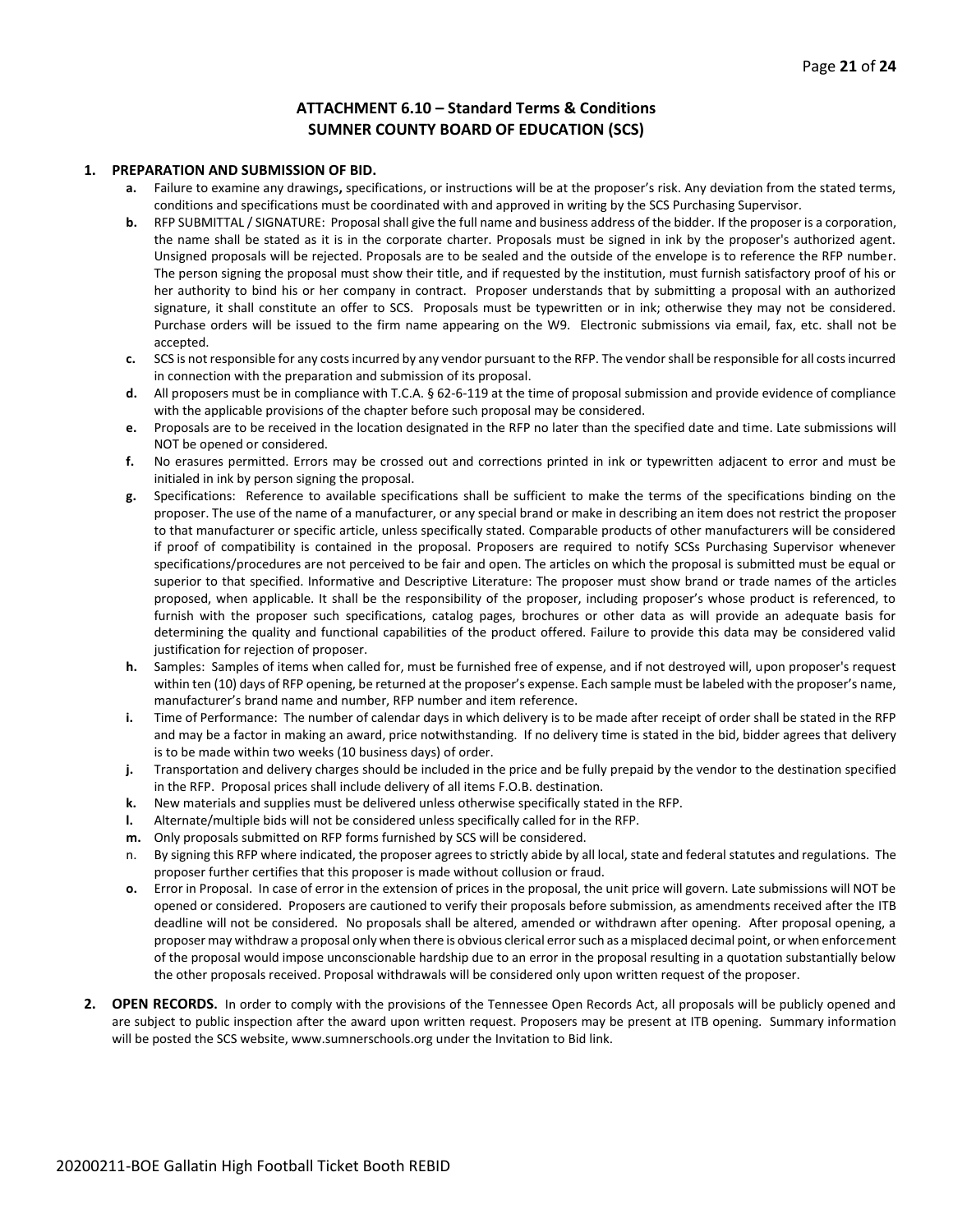#### **ATTACHMENT 6.10 – Standard Terms & Conditions SUMNER COUNTY BOARD OF EDUCATION (SCS)**

#### **1. PREPARATION AND SUBMISSION OF BID.**

- **a.** Failure to examine any drawings**,** specifications, or instructions will be at the proposer's risk. Any deviation from the stated terms, conditions and specifications must be coordinated with and approved in writing by the SCS Purchasing Supervisor.
- **b.** RFP SUBMITTAL / SIGNATURE: Proposal shall give the full name and business address of the bidder. If the proposer is a corporation, the name shall be stated as it is in the corporate charter. Proposals must be signed in ink by the proposer's authorized agent. Unsigned proposals will be rejected. Proposals are to be sealed and the outside of the envelope is to reference the RFP number. The person signing the proposal must show their title, and if requested by the institution, must furnish satisfactory proof of his or her authority to bind his or her company in contract. Proposer understands that by submitting a proposal with an authorized signature, it shall constitute an offer to SCS. Proposals must be typewritten or in ink; otherwise they may not be considered. Purchase orders will be issued to the firm name appearing on the W9. Electronic submissions via email, fax, etc. shall not be accepted.
- **c.** SCS is not responsible for any costs incurred by any vendor pursuant to the RFP. The vendor shall be responsible for all costs incurred in connection with the preparation and submission of its proposal.
- **d.** All proposers must be in compliance with T.C.A. § 62-6-119 at the time of proposal submission and provide evidence of compliance with the applicable provisions of the chapter before such proposal may be considered.
- **e.** Proposals are to be received in the location designated in the RFP no later than the specified date and time. Late submissions will NOT be opened or considered.
- **f.** No erasures permitted. Errors may be crossed out and corrections printed in ink or typewritten adjacent to error and must be initialed in ink by person signing the proposal.
- **g.** Specifications: Reference to available specifications shall be sufficient to make the terms of the specifications binding on the proposer. The use of the name of a manufacturer, or any special brand or make in describing an item does not restrict the proposer to that manufacturer or specific article, unless specifically stated. Comparable products of other manufacturers will be considered if proof of compatibility is contained in the proposal. Proposers are required to notify SCSs Purchasing Supervisor whenever specifications/procedures are not perceived to be fair and open. The articles on which the proposal is submitted must be equal or superior to that specified. Informative and Descriptive Literature: The proposer must show brand or trade names of the articles proposed, when applicable. It shall be the responsibility of the proposer, including proposer's whose product is referenced, to furnish with the proposer such specifications, catalog pages, brochures or other data as will provide an adequate basis for determining the quality and functional capabilities of the product offered. Failure to provide this data may be considered valid justification for rejection of proposer.
- **h.** Samples: Samples of items when called for, must be furnished free of expense, and if not destroyed will, upon proposer's request within ten (10) days of RFP opening, be returned at the proposer's expense. Each sample must be labeled with the proposer's name, manufacturer's brand name and number, RFP number and item reference.
- **i.** Time of Performance: The number of calendar days in which delivery is to be made after receipt of order shall be stated in the RFP and may be a factor in making an award, price notwithstanding. If no delivery time is stated in the bid, bidder agrees that delivery is to be made within two weeks (10 business days) of order.
- **j.** Transportation and delivery charges should be included in the price and be fully prepaid by the vendor to the destination specified in the RFP. Proposal prices shall include delivery of all items F.O.B. destination.
- **k.** New materials and supplies must be delivered unless otherwise specifically stated in the RFP.
- **l.** Alternate/multiple bids will not be considered unless specifically called for in the RFP.
- **m.** Only proposals submitted on RFP forms furnished by SCS will be considered.
- n. By signing this RFP where indicated, the proposer agrees to strictly abide by all local, state and federal statutes and regulations. The proposer further certifies that this proposer is made without collusion or fraud.
- **o.** Error in Proposal. In case of error in the extension of prices in the proposal, the unit price will govern. Late submissions will NOT be opened or considered. Proposers are cautioned to verify their proposals before submission, as amendments received after the ITB deadline will not be considered. No proposals shall be altered, amended or withdrawn after opening. After proposal opening, a proposer may withdraw a proposal only when there is obvious clerical error such as a misplaced decimal point, or when enforcement of the proposal would impose unconscionable hardship due to an error in the proposal resulting in a quotation substantially below the other proposals received. Proposal withdrawals will be considered only upon written request of the proposer.
- **2. OPEN RECORDS.** In order to comply with the provisions of the Tennessee Open Records Act, all proposals will be publicly opened and are subject to public inspection after the award upon written request. Proposers may be present at ITB opening. Summary information will be posted the SCS website, www.sumnerschools.org under the Invitation to Bid link.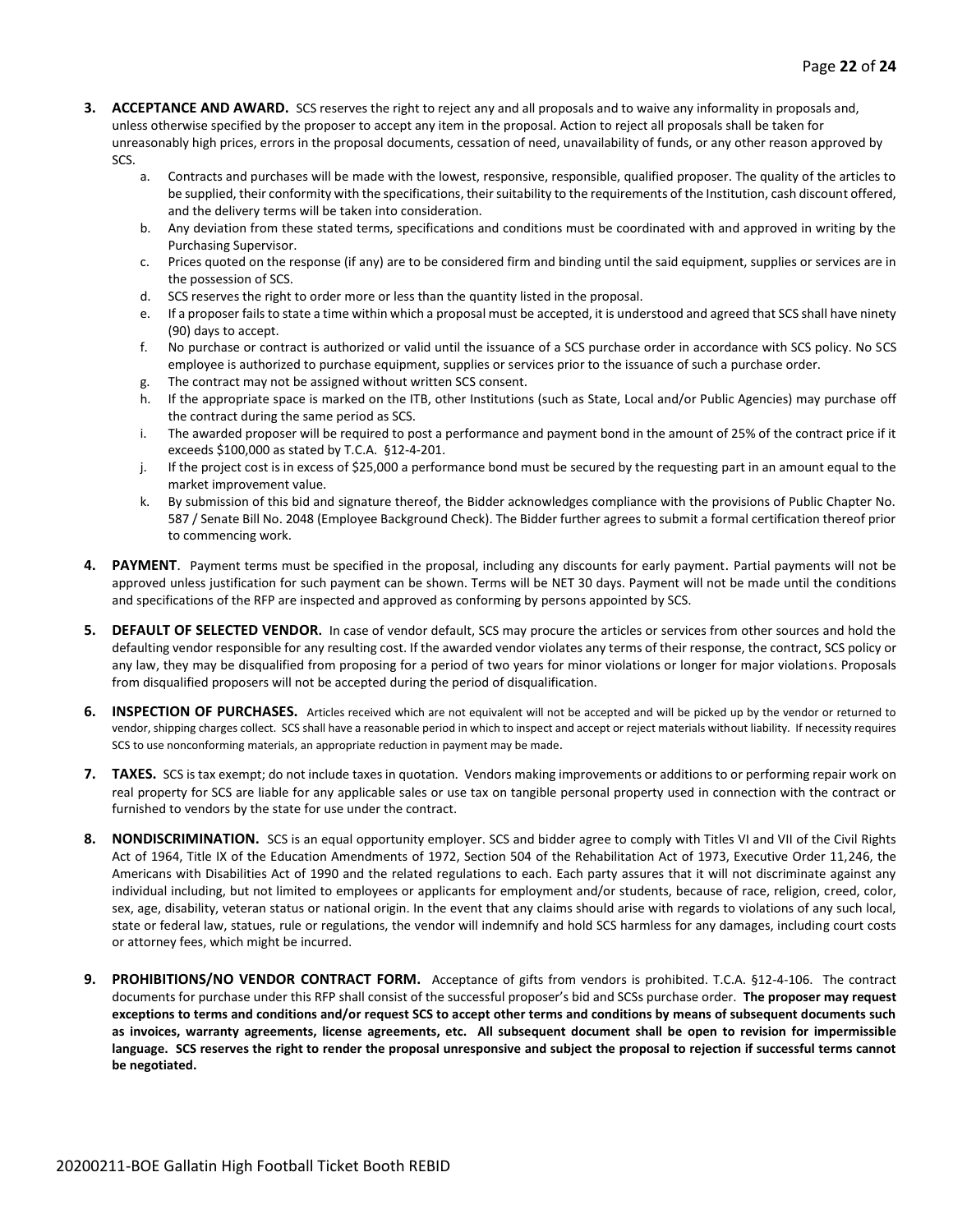- **3. ACCEPTANCE AND AWARD.** SCS reserves the right to reject any and all proposals and to waive any informality in proposals and, unless otherwise specified by the proposer to accept any item in the proposal. Action to reject all proposals shall be taken for unreasonably high prices, errors in the proposal documents, cessation of need, unavailability of funds, or any other reason approved by SCS.
	- a. Contracts and purchases will be made with the lowest, responsive, responsible, qualified proposer. The quality of the articles to be supplied, their conformity with the specifications, their suitability to the requirements of the Institution, cash discount offered, and the delivery terms will be taken into consideration.
	- b. Any deviation from these stated terms, specifications and conditions must be coordinated with and approved in writing by the Purchasing Supervisor.
	- c. Prices quoted on the response (if any) are to be considered firm and binding until the said equipment, supplies or services are in the possession of SCS.
	- d. SCS reserves the right to order more or less than the quantity listed in the proposal.
	- e. If a proposer fails to state a time within which a proposal must be accepted, it is understood and agreed that SCS shall have ninety (90) days to accept.
	- f. No purchase or contract is authorized or valid until the issuance of a SCS purchase order in accordance with SCS policy. No SCS employee is authorized to purchase equipment, supplies or services prior to the issuance of such a purchase order.
	- g. The contract may not be assigned without written SCS consent.
	- h. If the appropriate space is marked on the ITB, other Institutions (such as State, Local and/or Public Agencies) may purchase off the contract during the same period as SCS.
	- i. The awarded proposer will be required to post a performance and payment bond in the amount of 25% of the contract price if it exceeds \$100,000 as stated by T.C.A. §12-4-201.
	- j. If the project cost is in excess of \$25,000 a performance bond must be secured by the requesting part in an amount equal to the market improvement value.
	- k. By submission of this bid and signature thereof, the Bidder acknowledges compliance with the provisions of Public Chapter No. 587 / Senate Bill No. 2048 (Employee Background Check). The Bidder further agrees to submit a formal certification thereof prior to commencing work.
- **4. PAYMENT**. Payment terms must be specified in the proposal, including any discounts for early payment. Partial payments will not be approved unless justification for such payment can be shown. Terms will be NET 30 days. Payment will not be made until the conditions and specifications of the RFP are inspected and approved as conforming by persons appointed by SCS.
- **5. DEFAULT OF SELECTED VENDOR.** In case of vendor default, SCS may procure the articles or services from other sources and hold the defaulting vendor responsible for any resulting cost. If the awarded vendor violates any terms of their response, the contract, SCS policy or any law, they may be disqualified from proposing for a period of two years for minor violations or longer for major violations. Proposals from disqualified proposers will not be accepted during the period of disqualification.
- **6. INSPECTION OF PURCHASES.** Articles received which are not equivalent will not be accepted and will be picked up by the vendor or returned to vendor, shipping charges collect. SCS shall have a reasonable period in which to inspect and accept or reject materials without liability. If necessity requires SCS to use nonconforming materials, an appropriate reduction in payment may be made.
- **7. TAXES.** SCS is tax exempt; do not include taxes in quotation. Vendors making improvements or additions to or performing repair work on real property for SCS are liable for any applicable sales or use tax on tangible personal property used in connection with the contract or furnished to vendors by the state for use under the contract.
- **8. NONDISCRIMINATION.** SCS is an equal opportunity employer. SCS and bidder agree to comply with Titles VI and VII of the Civil Rights Act of 1964, Title IX of the Education Amendments of 1972, Section 504 of the Rehabilitation Act of 1973, Executive Order 11,246, the Americans with Disabilities Act of 1990 and the related regulations to each. Each party assures that it will not discriminate against any individual including, but not limited to employees or applicants for employment and/or students, because of race, religion, creed, color, sex, age, disability, veteran status or national origin. In the event that any claims should arise with regards to violations of any such local, state or federal law, statues, rule or regulations, the vendor will indemnify and hold SCS harmless for any damages, including court costs or attorney fees, which might be incurred.
- **9. PROHIBITIONS/NO VENDOR CONTRACT FORM.** Acceptance of gifts from vendors is prohibited. T.C.A. §12-4-106. The contract documents for purchase under this RFP shall consist of the successful proposer's bid and SCSs purchase order. **The proposer may request exceptions to terms and conditions and/or request SCS to accept other terms and conditions by means of subsequent documents such as invoices, warranty agreements, license agreements, etc. All subsequent document shall be open to revision for impermissible language. SCS reserves the right to render the proposal unresponsive and subject the proposal to rejection if successful terms cannot be negotiated.**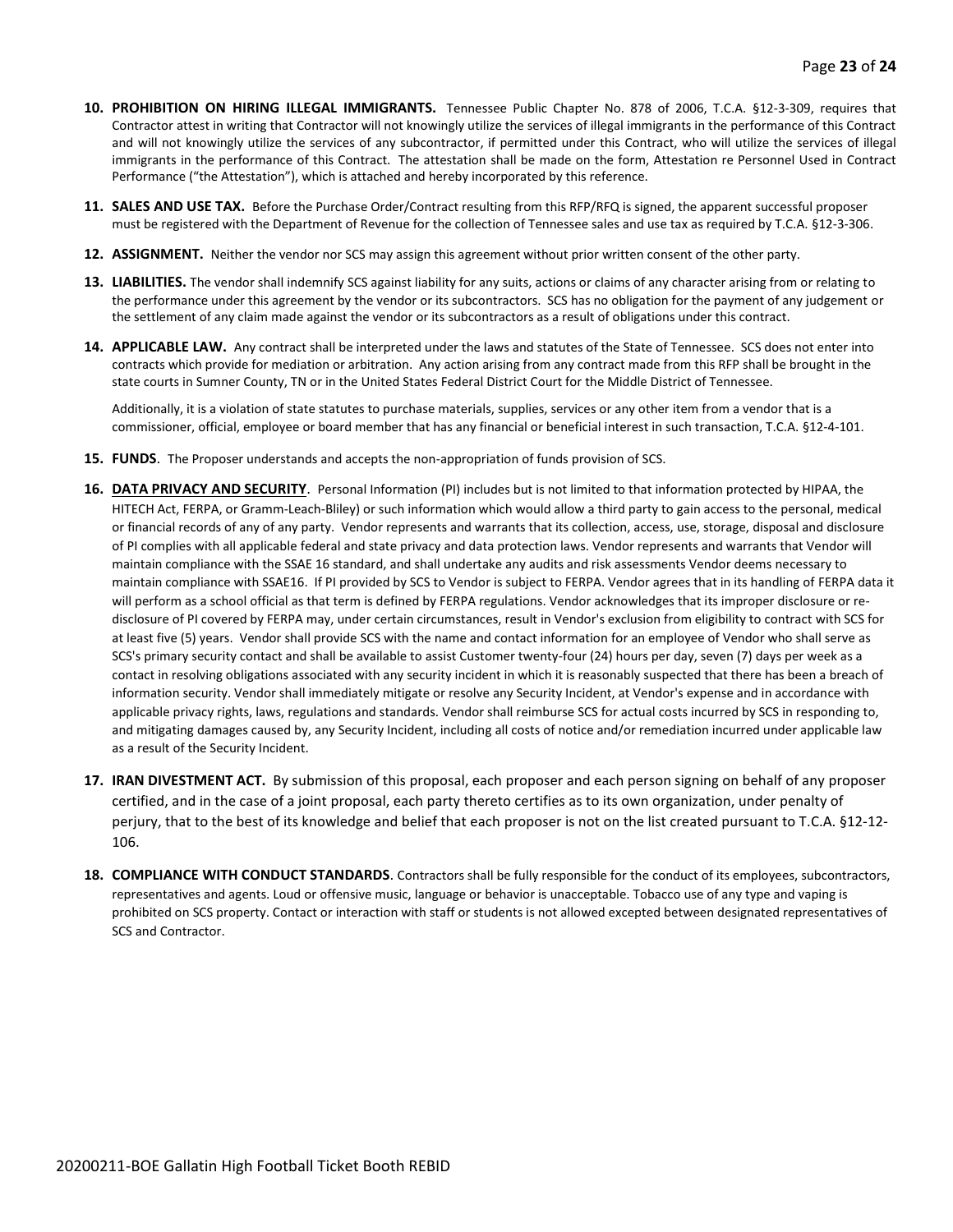- **10. PROHIBITION ON HIRING ILLEGAL IMMIGRANTS.** Tennessee Public Chapter No. 878 of 2006, T.C.A. §12-3-309, requires that Contractor attest in writing that Contractor will not knowingly utilize the services of illegal immigrants in the performance of this Contract and will not knowingly utilize the services of any subcontractor, if permitted under this Contract, who will utilize the services of illegal immigrants in the performance of this Contract. The attestation shall be made on the form, Attestation re Personnel Used in Contract Performance ("the Attestation"), which is attached and hereby incorporated by this reference.
- **11. SALES AND USE TAX.** Before the Purchase Order/Contract resulting from this RFP/RFQ is signed, the apparent successful proposer must be registered with the Department of Revenue for the collection of Tennessee sales and use tax as required by T.C.A. §12-3-306.
- **12. ASSIGNMENT.** Neither the vendor nor SCS may assign this agreement without prior written consent of the other party.
- **13. LIABILITIES.** The vendor shall indemnify SCS against liability for any suits, actions or claims of any character arising from or relating to the performance under this agreement by the vendor or its subcontractors. SCS has no obligation for the payment of any judgement or the settlement of any claim made against the vendor or its subcontractors as a result of obligations under this contract.
- **14. APPLICABLE LAW.** Any contract shall be interpreted under the laws and statutes of the State of Tennessee. SCS does not enter into contracts which provide for mediation or arbitration. Any action arising from any contract made from this RFP shall be brought in the state courts in Sumner County, TN or in the United States Federal District Court for the Middle District of Tennessee.

Additionally, it is a violation of state statutes to purchase materials, supplies, services or any other item from a vendor that is a commissioner, official, employee or board member that has any financial or beneficial interest in such transaction, T.C.A. §12-4-101.

- **15. FUNDS**. The Proposer understands and accepts the non-appropriation of funds provision of SCS.
- **16. DATA PRIVACY AND SECURITY**. Personal Information (PI) includes but is not limited to that information protected by HIPAA, the HITECH Act, FERPA, or Gramm-Leach-Bliley) or such information which would allow a third party to gain access to the personal, medical or financial records of any of any party. Vendor represents and warrants that its collection, access, use, storage, disposal and disclosure of PI complies with all applicable federal and state privacy and data protection laws. Vendor represents and warrants that Vendor will maintain compliance with the SSAE 16 standard, and shall undertake any audits and risk assessments Vendor deems necessary to maintain compliance with SSAE16. If PI provided by SCS to Vendor is subject to FERPA. Vendor agrees that in its handling of FERPA data it will perform as a school official as that term is defined by FERPA regulations. Vendor acknowledges that its improper disclosure or redisclosure of PI covered by FERPA may, under certain circumstances, result in Vendor's exclusion from eligibility to contract with SCS for at least five (5) years. Vendor shall provide SCS with the name and contact information for an employee of Vendor who shall serve as SCS's primary security contact and shall be available to assist Customer twenty-four (24) hours per day, seven (7) days per week as a contact in resolving obligations associated with any security incident in which it is reasonably suspected that there has been a breach of information security. Vendor shall immediately mitigate or resolve any Security Incident, at Vendor's expense and in accordance with applicable privacy rights, laws, regulations and standards. Vendor shall reimburse SCS for actual costs incurred by SCS in responding to, and mitigating damages caused by, any Security Incident, including all costs of notice and/or remediation incurred under applicable law as a result of the Security Incident.
- **17. IRAN DIVESTMENT ACT.** By submission of this proposal, each proposer and each person signing on behalf of any proposer certified, and in the case of a joint proposal, each party thereto certifies as to its own organization, under penalty of perjury, that to the best of its knowledge and belief that each proposer is not on the list created pursuant to T.C.A. §12-12- 106.
- **18. COMPLIANCE WITH CONDUCT STANDARDS**. Contractors shall be fully responsible for the conduct of its employees, subcontractors, representatives and agents. Loud or offensive music, language or behavior is unacceptable. Tobacco use of any type and vaping is prohibited on SCS property. Contact or interaction with staff or students is not allowed excepted between designated representatives of SCS and Contractor.